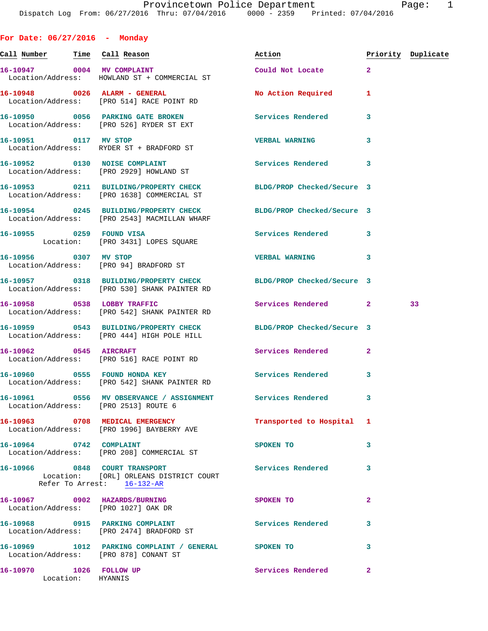**For Date: 06/27/2016 - Monday**

**Call Number Time Call Reason Action Priority Duplicate 16-10947 0004 MV COMPLAINT Could Not Locate 2**  Location/Address: HOWLAND ST + COMMERCIAL ST **16-10948 0026 ALARM - GENERAL No Action Required 1**  Location/Address: [PRO 514] RACE POINT RD **16-10950 0056 PARKING GATE BROKEN Services Rendered 3**  Location/Address: [PRO 526] RYDER ST EXT **16-10951 0117 MV STOP VERBAL WARNING 3**  Location/Address: RYDER ST + BRADFORD ST **16-10952 0130 NOISE COMPLAINT Services Rendered 3**  Location/Address: [PRO 2929] HOWLAND ST **16-10953 0211 BUILDING/PROPERTY CHECK BLDG/PROP Checked/Secure 3**  Location/Address: [PRO 1638] COMMERCIAL ST **16-10954 0245 BUILDING/PROPERTY CHECK BLDG/PROP Checked/Secure 3**  Location/Address: [PRO 2543] MACMILLAN WHARF **16-10955 0259 FOUND VISA Services Rendered 3**  Location: [PRO 3431] LOPES SQUARE **16-10956 0307 MV STOP VERBAL WARNING 3**  Location/Address: [PRO 94] BRADFORD ST **16-10957 0318 BUILDING/PROPERTY CHECK BLDG/PROP Checked/Secure 3**  Location/Address: [PRO 530] SHANK PAINTER RD **16-10958 0538 LOBBY TRAFFIC Services Rendered 2 33**  Location/Address: [PRO 542] SHANK PAINTER RD **16-10959 0543 BUILDING/PROPERTY CHECK BLDG/PROP Checked/Secure 3**  Location/Address: [PRO 444] HIGH POLE HILL **16-10962 0545 AIRCRAFT Services Rendered 2**  Location/Address: [PRO 516] RACE POINT RD 16-10960 0555 FOUND HONDA KEY **Services Rendered** 3 Location/Address: [PRO 542] SHANK PAINTER RD **16-10961 0556 MV OBSERVANCE / ASSIGNMENT Services Rendered 3**  Location/Address: [PRO 2513] ROUTE 6 **16-10963 0708 MEDICAL EMERGENCY Transported to Hospital 1**  Location/Address: [PRO 1996] BAYBERRY AVE **16-10964 0742 COMPLAINT SPOKEN TO 3**  Location/Address: [PRO 208] COMMERCIAL ST **16-10966 0848 COURT TRANSPORT Services Rendered 3**  Location: [ORL] ORLEANS DISTRICT COURT Refer To Arrest: 16-132-AR **16-10967 0902 HAZARDS/BURNING SPOKEN TO 2**  Location/Address: [PRO 1027] OAK DR **16-10968 0915 PARKING COMPLAINT Services Rendered 3**  Location/Address: [PRO 2474] BRADFORD ST **16-10969 1012 PARKING COMPLAINT / GENERAL SPOKEN TO 3** 

 Location/Address: [PRO 878] CONANT ST **16-10970 1026 FOLLOW UP Services Rendered 2**  Location: HYANNIS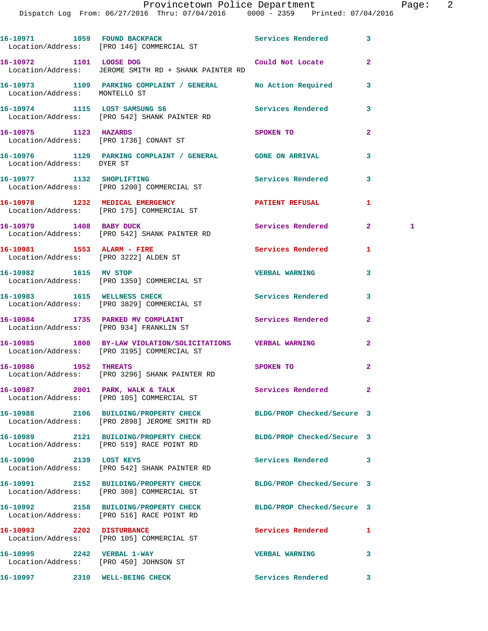Dispatch Log From: 06/27/2016 Thru: 07/04/2016 0000 - 2359 Printed: 07/04/2016

|                                                                      | 16-10971 1059 FOUND BACKPACK Services Rendered<br>Location/Address: [PRO 146] COMMERCIAL ST               |                            | 3              |   |
|----------------------------------------------------------------------|-----------------------------------------------------------------------------------------------------------|----------------------------|----------------|---|
| 16-10972 1101 LOOSE DOG                                              | Location/Address: JEROME SMITH RD + SHANK PAINTER RD                                                      | Could Not Locate           | $\mathbf{2}$   |   |
| Location/Address: MONTELLO ST                                        | 16-10973 1109 PARKING COMPLAINT / GENERAL No Action Required                                              |                            | 3              |   |
|                                                                      | 16-10974 1115 LOST SAMSUNG S6<br>Location/Address: [PRO 542] SHANK PAINTER RD                             | Services Rendered          | 3              |   |
| 16-10975 1123 HAZARDS                                                | Location/Address: [PRO 1736] CONANT ST                                                                    | SPOKEN TO                  | $\overline{a}$ |   |
| Location/Address: DYER ST                                            | 16-10976 1129 PARKING COMPLAINT / GENERAL GONE ON ARRIVAL                                                 |                            | 3              |   |
|                                                                      | 16-10977 1132 SHOPLIFTING<br>Location/Address: [PRO 1200] COMMERCIAL ST                                   | <b>Services Rendered</b>   | 3              |   |
|                                                                      | 16-10978 1232 MEDICAL EMERGENCY<br>Location/Address: [PRO 175] COMMERCIAL ST                              | PATIENT REFUSAL            | 1              |   |
|                                                                      | 16-10979 1408 BABY DUCK<br>Location/Address: [PRO 542] SHANK PAINTER RD                                   | Services Rendered          | $\mathbf{2}^-$ | 1 |
| 16-10981 1553 ALARM - FIRE                                           | Location/Address: [PRO 3222] ALDEN ST                                                                     | Services Rendered          | 1              |   |
|                                                                      | 16-10982 1615 MV STOP<br>Location/Address: [PRO 1359] COMMERCIAL ST                                       | <b>VERBAL WARNING</b>      | 3              |   |
|                                                                      | 16-10983 1615 WELLNESS CHECK<br>Location/Address: [PRO 3829] COMMERCIAL ST                                | Services Rendered          | 3              |   |
|                                                                      | 16-10984 1735 PARKED MV COMPLAINT<br>Location/Address: [PRO 934] FRANKLIN ST                              | Services Rendered          | $\mathbf{2}$   |   |
|                                                                      | 16-10985 1800 BY-LAW VIOLATION/SOLICITATIONS VERBAL WARNING<br>Location/Address: [PRO 3195] COMMERCIAL ST |                            | $\overline{2}$ |   |
| 16-10986 1952 THREATS                                                | Location/Address: [PRO 3296] SHANK PAINTER RD                                                             | SPOKEN TO                  | $\mathbf{2}$   |   |
|                                                                      | 16-10987 2001 PARK, WALK & TALK<br>Location/Address: [PRO 105] COMMERCIAL ST                              | Services Rendered          | $\mathbf{2}$   |   |
|                                                                      | 16-10988 2106 BUILDING/PROPERTY CHECK<br>Location/Address: [PRO 2898] JEROME SMITH RD                     | BLDG/PROP Checked/Secure 3 |                |   |
|                                                                      | 16-10989 2121 BUILDING/PROPERTY CHECK<br>Location/Address: [PRO 519] RACE POINT RD                        | BLDG/PROP Checked/Secure 3 |                |   |
| 16-10990 2139 LOST KEYS                                              | Location/Address: [PRO 542] SHANK PAINTER RD                                                              | <b>Services Rendered</b>   | 3              |   |
|                                                                      | 16-10991 2152 BUILDING/PROPERTY CHECK<br>Location/Address: [PRO 308] COMMERCIAL ST                        | BLDG/PROP Checked/Secure 3 |                |   |
|                                                                      | 16-10992 2158 BUILDING/PROPERTY CHECK<br>Location/Address: [PRO 516] RACE POINT RD                        | BLDG/PROP Checked/Secure 3 |                |   |
| 16-10993 2202 DISTURBANCE                                            | Location/Address: [PRO 105] COMMERCIAL ST                                                                 | Services Rendered          | 1              |   |
| 16-10995 2242 VERBAL 1-WAY<br>Location/Address: [PRO 450] JOHNSON ST |                                                                                                           | <b>VERBAL WARNING</b>      | 3              |   |
| 16-10997 2310 WELL-BEING CHECK                                       |                                                                                                           | Services Rendered          | 3              |   |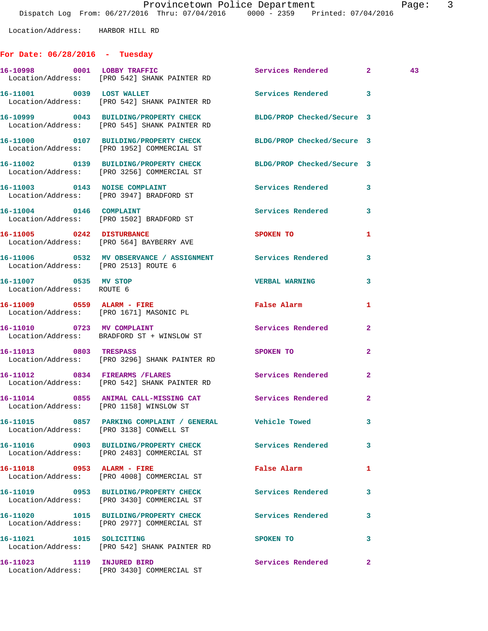## **For Date: 06/28/2016 - Tuesday**

|                                                    | 16-10998 0001 LOBBY TRAFFIC<br>Location/Address: [PRO 542] SHANK PAINTER RD                                      | Services Rendered 2        |                | 43 |
|----------------------------------------------------|------------------------------------------------------------------------------------------------------------------|----------------------------|----------------|----|
|                                                    | 16-11001 0039 LOST WALLET<br>Location/Address: [PRO 542] SHANK PAINTER RD                                        | Services Rendered 3        |                |    |
|                                                    | 16-10999 0043 BUILDING/PROPERTY CHECK BLDG/PROP Checked/Secure 3<br>Location/Address: [PRO 545] SHANK PAINTER RD |                            |                |    |
|                                                    | 16-11000 0107 BUILDING/PROPERTY CHECK<br>Location/Address: [PRO 1952] COMMERCIAL ST                              | BLDG/PROP Checked/Secure 3 |                |    |
|                                                    | 16-11002 0139 BUILDING/PROPERTY CHECK BLDG/PROP Checked/Secure 3<br>Location/Address: [PRO 3256] COMMERCIAL ST   |                            |                |    |
|                                                    | 16-11003 0143 NOISE COMPLAINT<br>Location/Address: [PRO 3947] BRADFORD ST                                        | Services Rendered          | 3              |    |
|                                                    | 16-11004 0146 COMPLAINT<br>Location/Address: [PRO 1502] BRADFORD ST                                              | Services Rendered          | 3              |    |
|                                                    | 16-11005 0242 DISTURBANCE<br>Location/Address: [PRO 564] BAYBERRY AVE                                            | SPOKEN TO                  | 1              |    |
| Location/Address: [PRO 2513] ROUTE 6               | 16-11006 0532 MV OBSERVANCE / ASSIGNMENT Services Rendered                                                       |                            | 3              |    |
| 16-11007 0535 MV STOP<br>Location/Address: ROUTE 6 |                                                                                                                  | <b>VERBAL WARNING</b>      | 3              |    |
|                                                    | 16-11009 0559 ALARM - FIRE<br>Location/Address: [PRO 1671] MASONIC PL                                            | False Alarm                | 1              |    |
|                                                    | 16-11010 0723 MV COMPLAINT<br>Location/Address: BRADFORD ST + WINSLOW ST                                         | Services Rendered          | $\overline{2}$ |    |
|                                                    | 16-11013 0803 TRESPASS<br>Location/Address: [PRO 3296] SHANK PAINTER RD                                          | SPOKEN TO                  | 2              |    |
|                                                    | 16-11012 0834 FIREARMS / FLARES<br>Location/Address: [PRO 542] SHANK PAINTER RD                                  | <b>Services Rendered</b>   | $\overline{2}$ |    |
|                                                    | 16-11014 0855 ANIMAL CALL-MISSING CAT Services Rendered<br>Location/Address: [PRO 1158] WINSLOW ST               |                            | $\overline{2}$ |    |
|                                                    | 16-11015 0857 PARKING COMPLAINT / GENERAL Vehicle Towed<br>Location/Address: [PRO 3138] CONWELL ST               |                            |                |    |
|                                                    | 16-11016 0903 BUILDING/PROPERTY CHECK Services Rendered<br>Location/Address: [PRO 2483] COMMERCIAL ST            |                            | 3              |    |
| 16-11018 0953 ALARM - FIRE                         | Location/Address: [PRO 4008] COMMERCIAL ST                                                                       | False Alarm                | 1              |    |
|                                                    | 16-11019 0953 BUILDING/PROPERTY CHECK<br>Location/Address: [PRO 3430] COMMERCIAL ST                              | <b>Services Rendered</b>   | 3              |    |
|                                                    | 16-11020 1015 BUILDING/PROPERTY CHECK Services Rendered<br>Location/Address: [PRO 2977] COMMERCIAL ST            |                            | 3              |    |
| 16-11021 1015 SOLICITING                           | Location/Address: [PRO 542] SHANK PAINTER RD                                                                     | SPOKEN TO                  | 3              |    |
| 16-11023 1119 INJURED BIRD                         | Location/Address: [PRO 3430] COMMERCIAL ST                                                                       | Services Rendered          | $\mathbf{2}$   |    |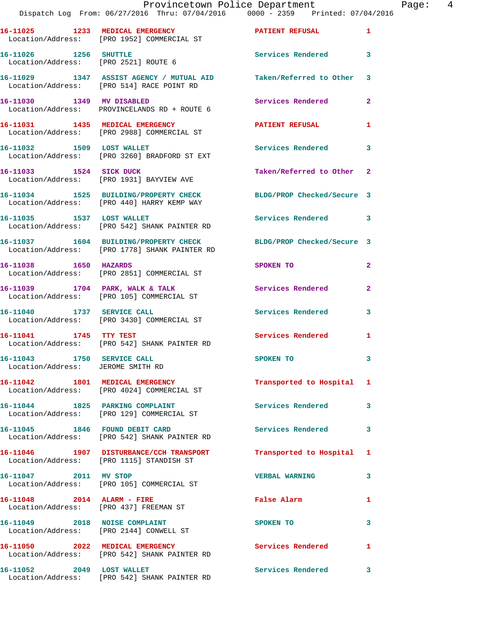|                                                                 | Provincetown Police Department The Page: 4<br>Dispatch Log From: 06/27/2016 Thru: 07/04/2016   0000 - 2359   Printed: 07/04/2016 |                                  |              |  |
|-----------------------------------------------------------------|----------------------------------------------------------------------------------------------------------------------------------|----------------------------------|--------------|--|
|                                                                 | 16-11025 1233 MEDICAL EMERGENCY 1 PATIENT REFUSAL 1<br>Location/Address: [PRO 1952] COMMERCIAL ST                                |                                  |              |  |
|                                                                 | 16-11026 1256 SHUTTLE<br>Location/Address: [PRO 2521] ROUTE 6                                                                    | Services Rendered 3              |              |  |
|                                                                 | 16-11029 1347 ASSIST AGENCY / MUTUAL AID Taken/Referred to Other 3<br>Location/Address: [PRO 514] RACE POINT RD                  |                                  |              |  |
|                                                                 | 16-11030 1349 MV DISABLED<br>Location/Address: PROVINCELANDS RD + ROUTE 6                                                        | Services Rendered                | $\mathbf{2}$ |  |
|                                                                 | 16-11031 1435 MEDICAL EMERGENCY<br>Location/Address: [PRO 2988] COMMERCIAL ST                                                    | PATIENT REFUSAL 1                |              |  |
|                                                                 | 16-11032 1509 LOST WALLET<br>Location/Address: [PRO 3260] BRADFORD ST EXT                                                        | <b>Services Rendered</b>         | 3            |  |
| 16-11033 1524 SICK DUCK                                         | Location/Address: [PRO 1931] BAYVIEW AVE                                                                                         | Taken/Referred to Other 2        |              |  |
|                                                                 | 16-11034 1525 BUILDING/PROPERTY CHECK BLDG/PROP Checked/Secure 3<br>Location/Address: [PRO 440] HARRY KEMP WAY                   |                                  |              |  |
|                                                                 | 16-11035 1537 LOST WALLET<br>Location/Address: [PRO 542] SHANK PAINTER RD                                                        | Services Rendered 3              |              |  |
|                                                                 | 16-11037 1604 BUILDING/PROPERTY CHECK BLDG/PROP Checked/Secure 3<br>Location/Address: [PRO 1778] SHANK PAINTER RD                |                                  |              |  |
| 16-11038 1650 HAZARDS                                           | Location/Address: [PRO 2851] COMMERCIAL ST                                                                                       | SPOKEN TO AND TO A THE SPOKEN TO | $\mathbf{2}$ |  |
|                                                                 | 16-11039 1704 PARK, WALK & TALK 1988 Services Rendered<br>Location/Address: [PRO 105] COMMERCIAL ST                              |                                  | $\mathbf{2}$ |  |
| 16-11040 1737 SERVICE CALL                                      | Location/Address: [PRO 3430] COMMERCIAL ST                                                                                       | Services Rendered                | 3            |  |
|                                                                 | 16-11041 1745 TTY TEST<br>Location/Address: [PRO 542] SHANK PAINTER RD                                                           | Services Rendered 1              |              |  |
| 16-11043 1750 SERVICE CALL<br>Location/Address: JEROME SMITH RD |                                                                                                                                  | SPOKEN TO                        |              |  |
|                                                                 | 16-11042 1801 MEDICAL EMERGENCY<br>Location/Address: [PRO 4024] COMMERCIAL ST                                                    | Transported to Hospital 1        |              |  |
|                                                                 | 16-11044 1825 PARKING COMPLAINT<br>Location/Address: [PRO 129] COMMERCIAL ST                                                     | Services Rendered                | 3            |  |
|                                                                 | 16-11045 1846 FOUND DEBIT CARD<br>Location/Address: [PRO 542] SHANK PAINTER RD                                                   | Services Rendered                | 3            |  |
|                                                                 | 16-11046 1907 DISTURBANCE/CCH TRANSPORT Transported to Hospital 1<br>Location/Address: [PRO 1115] STANDISH ST                    |                                  |              |  |
|                                                                 | 16-11047 2011 MV STOP<br>Location/Address: [PRO 105] COMMERCIAL ST                                                               | <b>VERBAL WARNING</b>            | 3            |  |
|                                                                 | 16-11048 2014 ALARM - FIRE<br>Location/Address: [PRO 437] FREEMAN ST                                                             | False Alarm <b>Example 2</b>     | 1            |  |
|                                                                 | 16-11049 2018 NOISE COMPLAINT<br>Location/Address: [PRO 2144] CONWELL ST                                                         | SPOKEN TO                        | 3            |  |
|                                                                 | 16-11050 2022 MEDICAL EMERGENCY<br>Location/Address: [PRO 542] SHANK PAINTER RD                                                  | Services Rendered                | 1            |  |
| 16-11052 2049 LOST WALLET                                       |                                                                                                                                  | Services Rendered 3              |              |  |

Location/Address: [PRO 542] SHANK PAINTER RD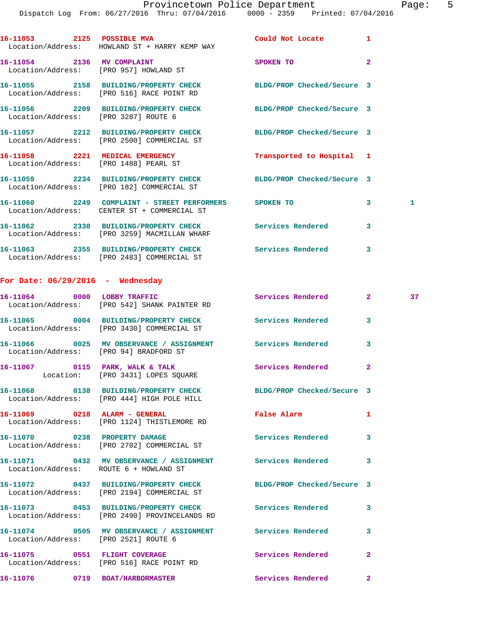|                                      | 16-11053 2125 POSSIBLE MVA Could Not Locate 1<br>Location/Address: HOWLAND ST + HARRY KEMP WAY                 |                           |                         |    |
|--------------------------------------|----------------------------------------------------------------------------------------------------------------|---------------------------|-------------------------|----|
| 16-11054 2136 MV COMPLAINT           | Location/Address: [PRO 957] HOWLAND ST                                                                         | SPOKEN TO                 | $\overline{2}$          |    |
|                                      | 16-11055 2158 BUILDING/PROPERTY CHECK BLDG/PROP Checked/Secure 3<br>Location/Address: [PRO 516] RACE POINT RD  |                           |                         |    |
| Location/Address: [PRO 3287] ROUTE 6 | 16-11056 2209 BUILDING/PROPERTY CHECK BLDG/PROP Checked/Secure 3                                               |                           |                         |    |
|                                      | 16-11057 2212 BUILDING/PROPERTY CHECK BLDG/PROP Checked/Secure 3<br>Location/Address: [PRO 2500] COMMERCIAL ST |                           |                         |    |
|                                      | 16-11058 2221 MEDICAL EMERGENCY<br>Location/Address: [PRO 1488] PEARL ST                                       | Transported to Hospital 1 |                         |    |
|                                      | 16-11059 2234 BUILDING/PROPERTY CHECK BLDG/PROP Checked/Secure 3<br>Location/Address: [PRO 182] COMMERCIAL ST  |                           |                         |    |
|                                      | 16-11060 2249 COMPLAINT - STREET PERFORMERS SPOKEN TO<br>Location/Address: CENTER ST + COMMERCIAL ST           |                           | 3 <sup>7</sup>          | 1  |
|                                      | 16-11062 2330 BUILDING/PROPERTY CHECK<br>Location/Address: [PRO 3259] MACMILLAN WHARF                          | Services Rendered         | 3                       |    |
|                                      | 16-11063 2355 BUILDING/PROPERTY CHECK Services Rendered<br>Location/Address: [PRO 2483] COMMERCIAL ST          |                           | $\overline{\mathbf{3}}$ |    |
| For Date: $06/29/2016$ - Wednesday   |                                                                                                                |                           |                         |    |
|                                      | 16-11064 0000 LOBBY TRAFFIC<br>Location/Address: [PRO 542] SHANK PAINTER RD                                    | Services Rendered         | $2^{\circ}$             | 37 |
|                                      | 16-11065 0004 BUILDING/PROPERTY CHECK<br>Location/Address: [PRO 3430] COMMERCIAL ST                            | Services Rendered         | 3                       |    |
|                                      | 16-11066 0025 MV OBSERVANCE / ASSIGNMENT Services Rendered<br>Location/Address: [PRO 94] BRADFORD ST           |                           | 3                       |    |
|                                      | 16-11067 0115 PARK, WALK & TALK Services Rendered<br>Location: [PRO 3431] LOPES SQUARE                         |                           | $\mathbf{2}$            |    |
|                                      | 16-11068 0138 BUILDING/PROPERTY CHECK BLDG/PROP Checked/Secure 3                                               |                           |                         |    |

**16-11069 0218 ALARM - GENERAL False Alarm 1**  Location/Address: [PRO 1124] THISTLEMORE RD

Location/Address: [PRO 444] HIGH POLE HILL

Location/Address: [PRO 2702] COMMERCIAL ST

Location/Address: ROUTE 6 + HOWLAND ST

**16-11072 0437 BUILDING/PROPERTY CHECK BLDG/PROP Checked/Secure 3**  Location/Address: [PRO 2194] COMMERCIAL ST

Location/Address: [PRO 2490] PROVINCELANDS RD

**16-11074 0505 MV OBSERVANCE / ASSIGNMENT Services Rendered 3**  Location/Address: [PRO 2521] ROUTE 6

**16-11075 0551 FLIGHT COVERAGE Services Rendered 2**  Location/Address: [PRO 516] RACE POINT RD

**16-11076 0719 BOAT/HARBORMASTER Services Rendered 2** 

16-11070 0238 PROPERTY DAMAGE Services Rendered 3

**16-11071 0432 MV OBSERVANCE / ASSIGNMENT Services Rendered 3** 

**16-11073 0453 BUILDING/PROPERTY CHECK Services Rendered 3**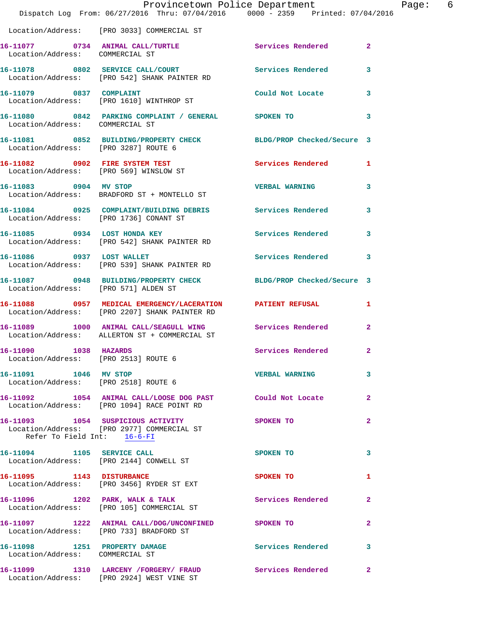|                                                               | Dispatch Log From: 06/27/2016 Thru: 07/04/2016 0000 - 2359 Printed: 07/04/2016                                | Provincetown Police Department | Page: 6        |  |
|---------------------------------------------------------------|---------------------------------------------------------------------------------------------------------------|--------------------------------|----------------|--|
|                                                               | Location/Address: [PRO 3033] COMMERCIAL ST                                                                    |                                |                |  |
|                                                               | 16-11077 0734 ANIMAL CALL/TURTLE<br>Location/Address: COMMERCIAL ST                                           | <b>Services Rendered</b> 2     |                |  |
|                                                               | 16-11078 0802 SERVICE CALL/COURT Services Rendered<br>Location/Address: [PRO 542] SHANK PAINTER RD            |                                | 3              |  |
|                                                               | 16-11079 0837 COMPLAINT<br>Location/Address: [PRO 1610] WINTHROP ST                                           | Could Not Locate 3             |                |  |
| Location/Address: COMMERCIAL ST                               | 16-11080 0842 PARKING COMPLAINT / GENERAL SPOKEN TO                                                           |                                | 3              |  |
| Location/Address: [PRO 3287] ROUTE 6                          | 16-11081 0852 BUILDING/PROPERTY CHECK BLDG/PROP Checked/Secure 3                                              |                                |                |  |
|                                                               | 16-11082 0902 FIRE SYSTEM TEST<br>Location/Address: [PRO 569] WINSLOW ST                                      | Services Rendered 1            |                |  |
| 16-11083 0904 MV STOP                                         | Location/Address: BRADFORD ST + MONTELLO ST                                                                   | VERBAL WARNING 3               |                |  |
|                                                               | 16-11084 0925 COMPLAINT/BUILDING DEBRIS Services Rendered 3<br>Location/Address: [PRO 1736] CONANT ST         |                                |                |  |
|                                                               | 16-11085 0934 LOST HONDA KEY<br>Location/Address: [PRO 542] SHANK PAINTER RD                                  | Services Rendered              | $\mathbf{3}$   |  |
|                                                               | 16-11086 0937 LOST WALLET<br>Location/Address: [PRO 539] SHANK PAINTER RD                                     | Services Rendered 3            |                |  |
| Location/Address: [PRO 571] ALDEN ST                          | 16-11087 0948 BUILDING/PROPERTY CHECK BLDG/PROP Checked/Secure 3                                              |                                |                |  |
|                                                               | 16-11088 0957 MEDICAL EMERGENCY/LACERATION PATIENT REFUSAL 1<br>Location/Address: [PRO 2207] SHANK PAINTER RD |                                |                |  |
|                                                               | 16-11089 1000 ANIMAL CALL/SEAGULL WING Services Rendered<br>Location/Address: ALLERTON ST + COMMERCIAL ST     |                                | $\mathbf{2}$   |  |
| 16-11090 1038 HAZARDS<br>Location/Address: [PRO 2513] ROUTE 6 |                                                                                                               | Services Rendered              | $\overline{2}$ |  |
| 16-11091 1046 MV STOP                                         | Location/Address: [PRO 2518] ROUTE 6                                                                          | VERBAL WARNING 3               |                |  |
|                                                               | 16-11092 1054 ANIMAL CALL/LOOSE DOG PAST Could Not Locate<br>Location/Address: [PRO 1094] RACE POINT RD       |                                | -2             |  |
| Refer To Field Int: 16-6-FI                                   | 16-11093 1054 SUSPICIOUS ACTIVITY<br>Location/Address: [PRO 2977] COMMERCIAL ST                               | SPOKEN TO                      | $\mathbf{2}$   |  |
|                                                               | 16-11094 1105 SERVICE CALL<br>Location/Address: [PRO 2144] CONWELL ST                                         | SPOKEN TO                      | 3              |  |
|                                                               | 16-11095 1143 DISTURBANCE<br>Location/Address: [PRO 3456] RYDER ST EXT                                        | SPOKEN TO                      | 1              |  |
|                                                               | 16-11096 1202 PARK, WALK & TALK<br>Location/Address: [PRO 105] COMMERCIAL ST                                  | Services Rendered              | $\mathbf{2}$   |  |
|                                                               | 16-11097 1222 ANIMAL CALL/DOG/UNCONFINED SPOKEN TO<br>Location/Address: [PRO 733] BRADFORD ST                 |                                | $\mathbf{2}$   |  |
| Location/Address: COMMERCIAL ST                               | 16-11098 1251 PROPERTY DAMAGE                                                                                 | Services Rendered 3            |                |  |
|                                                               | 16-11099 1310 LARCENY /FORGERY/ FRAUD Services Rendered<br>Location/Address: [PRO 2924] WEST VINE ST          |                                | $\mathbf{2}$   |  |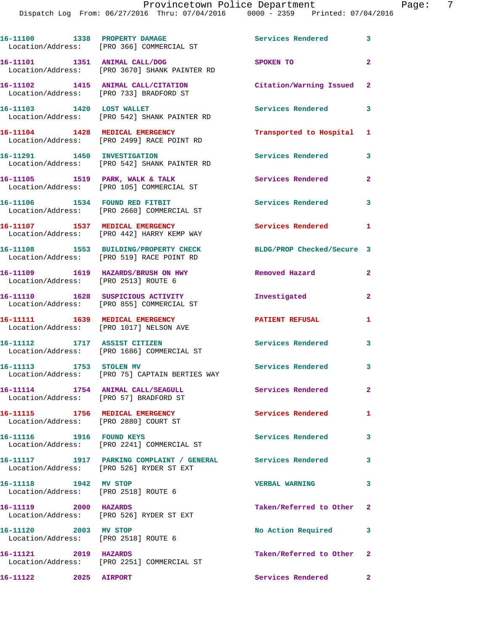Dispatch Log From: 06/27/2016 Thru: 07/04/2016 0000 - 2359 Printed: 07/04/2016

|                                                                             | 16-11100 1338 PROPERTY DAMAGE<br>Location/Address: [PRO 366] COMMERCIAL ST                              | Services Rendered 3        |                |
|-----------------------------------------------------------------------------|---------------------------------------------------------------------------------------------------------|----------------------------|----------------|
| 16-11101 1351 ANIMAL CALL/DOG                                               | Location/Address: [PRO 3670] SHANK PAINTER RD                                                           | SPOKEN TO                  | $\overline{2}$ |
|                                                                             | 16-11102 1415 ANIMAL CALL/CITATION<br>Location/Address: [PRO 733] BRADFORD ST                           | Citation/Warning Issued 2  |                |
| 16-11103 1420 LOST WALLET                                                   | Location/Address: [PRO 542] SHANK PAINTER RD                                                            | Services Rendered 3        |                |
|                                                                             | 16-11104 1428 MEDICAL EMERGENCY<br>Location/Address: [PRO 2499] RACE POINT RD                           | Transported to Hospital 1  |                |
| 16-11291 1450 INVESTIGATION                                                 | Location/Address: [PRO 542] SHANK PAINTER RD                                                            | Services Rendered 3        |                |
|                                                                             | 16-11105 1519 PARK, WALK & TALK<br>Location/Address: [PRO 105] COMMERCIAL ST                            | Services Rendered          | $\mathbf{2}$   |
| 16-11106 1534 FOUND RED FITBIT                                              | Location/Address: [PRO 2660] COMMERCIAL ST                                                              | Services Rendered 3        |                |
|                                                                             | 16-11107 1537 MEDICAL EMERGENCY<br>Location/Address: [PRO 442] HARRY KEMP WAY                           | Services Rendered          | $\blacksquare$ |
|                                                                             | 16-11108 1553 BUILDING/PROPERTY CHECK<br>Location/Address: [PRO 519] RACE POINT RD                      | BLDG/PROP Checked/Secure 3 |                |
| Location/Address: [PRO 2513] ROUTE 6                                        | 16-11109 1619 HAZARDS/BRUSH ON HWY                                                                      | Removed Hazard             | $\mathbf{2}$   |
|                                                                             | 16-11110 1628 SUSPICIOUS ACTIVITY<br>Location/Address: [PRO 855] COMMERCIAL ST                          | Investigated               | $\mathbf{2}$   |
|                                                                             | 16-11111 1639 MEDICAL EMERGENCY<br>Location/Address: [PRO 1017] NELSON AVE                              | <b>PATIENT REFUSAL</b>     | 1              |
|                                                                             | 16-11112 1717 ASSIST CITIZEN<br>Location/Address: [PRO 1686] COMMERCIAL ST                              | Services Rendered          | 3              |
| 16-11113 1753 STOLEN MV                                                     | Location/Address: [PRO 75] CAPTAIN BERTIES WAY                                                          | Services Rendered 3        |                |
| 16-11114 1754 ANIMAL CALL/SEAGULL<br>Location/Address: [PRO 57] BRADFORD ST |                                                                                                         | <b>Services Rendered</b>   | $\mathbf{2}$   |
| 16-11115 1756 MEDICAL EMERGENCY<br>Location/Address: [PRO 2880] COURT ST    |                                                                                                         | Services Rendered          | 1              |
| 16-11116    1916    FOUND KEYS                                              | Location/Address: [PRO 2241] COMMERCIAL ST                                                              | Services Rendered          | $\mathbf{3}$   |
|                                                                             | 16-11117 1917 PARKING COMPLAINT / GENERAL Services Rendered<br>Location/Address: [PRO 526] RYDER ST EXT |                            | 3              |
| 16-11118 1942 MV STOP<br>Location/Address: [PRO 2518] ROUTE 6               |                                                                                                         | <b>VERBAL WARNING</b>      | 3              |
| 16-11119 2000 HAZARDS                                                       | Location/Address: [PRO 526] RYDER ST EXT                                                                | Taken/Referred to Other 2  |                |
| 16-11120 2003 MV STOP<br>Location/Address: [PRO 2518] ROUTE 6               |                                                                                                         | No Action Required         | 3              |
| 16-11121 2019 HAZARDS                                                       | Location/Address: [PRO 2251] COMMERCIAL ST                                                              | Taken/Referred to Other 2  |                |
| 16-11122 2025 AIRPORT                                                       |                                                                                                         | Services Rendered          | $\mathbf{2}$   |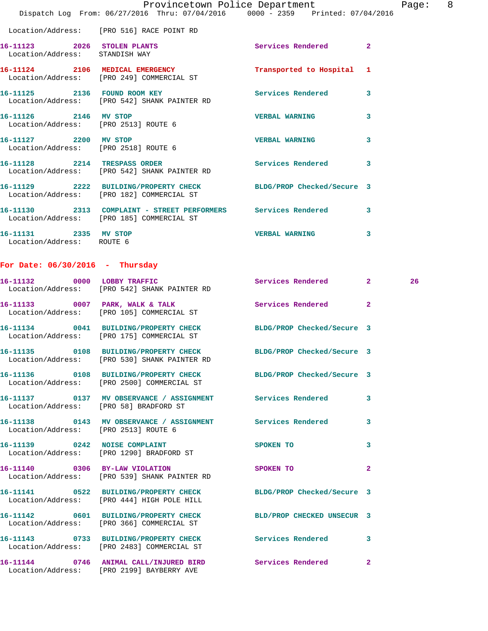|                                                               | Dispatch Log From: 06/27/2016 Thru: 07/04/2016   0000 - 2359   Printed: 07/04/2016                                                                                                                                                                                                | Provincetown Police Department | Page: 8 |  |
|---------------------------------------------------------------|-----------------------------------------------------------------------------------------------------------------------------------------------------------------------------------------------------------------------------------------------------------------------------------|--------------------------------|---------|--|
|                                                               | Location/Address: [PRO 516] RACE POINT RD                                                                                                                                                                                                                                         |                                |         |  |
| 16-11123 2026 STOLEN PLANTS<br>Location/Address: STANDISH WAY |                                                                                                                                                                                                                                                                                   | <b>Services Rendered</b> 2     |         |  |
|                                                               | 16-11124 2106 MEDICAL EMERGENCY <b>120 Contract Contract Contract Contract Contract Contract Contract Contract Contract Contract Contract Contract Contract Contract Contract Contract Contract Contract Contract Contract Contr</b><br>Location/Address: [PRO 249] COMMERCIAL ST |                                |         |  |
|                                                               | 16-11125 2136 FOUND ROOM KEY<br>Location/Address: [PRO 542] SHANK PAINTER RD                                                                                                                                                                                                      | Services Rendered 3            |         |  |
| Location/Address: [PRO 2513] ROUTE 6                          |                                                                                                                                                                                                                                                                                   |                                | 3       |  |
| Location/Address: [PRO 2518] ROUTE 6                          | 16-11127 2200 MV STOP                                                                                                                                                                                                                                                             | <b>VERBAL WARNING</b>          | 3       |  |
|                                                               | 16-11128 2214 TRESPASS ORDER Services Rendered 3<br>Location/Address: [PRO 542] SHANK PAINTER RD                                                                                                                                                                                  |                                |         |  |
|                                                               | 16-11129 2222 BUILDING/PROPERTY CHECK BLDG/PROP Checked/Secure 3<br>Location/Address: [PRO 182] COMMERCIAL ST                                                                                                                                                                     |                                |         |  |
|                                                               | 16-11130 2313 COMPLAINT - STREET PERFORMERS Services Rendered<br>Location/Address: [PRO 185] COMMERCIAL ST                                                                                                                                                                        |                                | 3       |  |
| 16-11131 2335 MV STOP<br>Location/Address: ROUTE 6            |                                                                                                                                                                                                                                                                                   | <b>VERBAL WARNING</b>          | 3       |  |
| For Date: $06/30/2016$ - Thursday                             |                                                                                                                                                                                                                                                                                   |                                |         |  |

## **16-11132 0000 LOBBY TRAFFIC Services Rendered 2 26**  Location/Address: [PRO 542] SHANK PAINTER RD **16-11133 0007 PARK, WALK & TALK Services Rendered 2**  Location/Address: [PRO 105] COMMERCIAL ST **16-11134 0041 BUILDING/PROPERTY CHECK BLDG/PROP Checked/Secure 3**  Location/Address: [PRO 175] COMMERCIAL ST **16-11135 0108 BUILDING/PROPERTY CHECK BLDG/PROP Checked/Secure 3**  Location/Address: [PRO 530] SHANK PAINTER RD **16-11136 0108 BUILDING/PROPERTY CHECK BLDG/PROP Checked/Secure 3**  Location/Address: [PRO 2500] COMMERCIAL ST **16-11137 0137 MV OBSERVANCE / ASSIGNMENT Services Rendered 3**  Location/Address: [PRO 58] BRADFORD ST **16-11138 0143 MV OBSERVANCE / ASSIGNMENT Services Rendered 3**  Location/Address: [PRO 2513] ROUTE 6 **16-11139 0242 NOISE COMPLAINT SPOKEN TO 3**  Location/Address: [PRO 1290] BRADFORD ST **16-11140 0306 BY-LAW VIOLATION SPOKEN TO 2**  Location/Address: [PRO 539] SHANK PAINTER RD **16-11141 0522 BUILDING/PROPERTY CHECK BLDG/PROP Checked/Secure 3**  Location/Address: [PRO 444] HIGH POLE HILL **16-11142 0601 BUILDING/PROPERTY CHECK BLD/PROP CHECKED UNSECUR 3**  Location/Address: [PRO 366] COMMERCIAL ST **16-11143 0733 BUILDING/PROPERTY CHECK Services Rendered 3**  Location/Address: [PRO 2483] COMMERCIAL ST **16-11144 0746 ANIMAL CALL/INJURED BIRD Services Rendered 2**

Location/Address: [PRO 2199] BAYBERRY AVE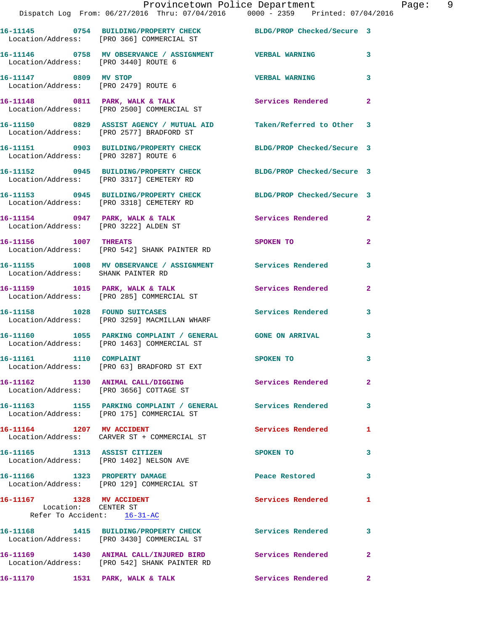|                                                                               |                                        | Provincetown Police Department<br>Dispatch Log From: 06/27/2016 Thru: 07/04/2016 0000 - 2359 Printed: 07/04/2016 |                       |                            |                |
|-------------------------------------------------------------------------------|----------------------------------------|------------------------------------------------------------------------------------------------------------------|-----------------------|----------------------------|----------------|
| Location/Address: [PRO 366] COMMERCIAL ST                                     |                                        | 16-11145 0754 BUILDING/PROPERTY CHECK BLDG/PROP Checked/Secure 3                                                 |                       |                            |                |
| Location/Address: [PRO 3440] ROUTE 6                                          |                                        | 16-11146  0758 MV OBSERVANCE / ASSIGNMENT  VERBAL WARNING                                                        |                       |                            | 3              |
| 16-11147 0809 MV STOP<br>Location/Address: [PRO 2479] ROUTE 6                 |                                        |                                                                                                                  | <b>VERBAL WARNING</b> |                            | 3              |
| 16-11148 0811 PARK, WALK & TALK<br>Location/Address: [PRO 2500] COMMERCIAL ST |                                        |                                                                                                                  | Services Rendered     |                            | $\overline{2}$ |
| Location/Address: [PRO 2577] BRADFORD ST                                      |                                        | 16-11150              0829   ASSIST AGENCY / MUTUAL AID             Taken/Referred to Other     3                |                       |                            |                |
| Location/Address: [PRO 3287] ROUTE 6                                          |                                        | 16-11151 0903 BUILDING/PROPERTY CHECK BLDG/PROP Checked/Secure 3                                                 |                       |                            |                |
| 16-11152                                                                      | 0945<br><b>BUILDING/PROPERTY CHECK</b> |                                                                                                                  |                       | BLDG/PROP Checked/Secure 3 |                |

**16-11153 0945 BUILDING/PROPERTY CHECK BLDG/PROP Checked/Secure 3**  Location/Address: [PRO 3318] CEMETERY RD

Location/Address: [PRO 3317] CEMETERY RD

16-11154 0947 PARK, WALK & TALK Services Rendered 2 Location/Address: [PRO 3222] ALDEN ST

**16-11156 1007 THREATS SPOKEN TO 2**  Location/Address: [PRO 542] SHANK PAINTER RD

**16-11155 1008 MV OBSERVANCE / ASSIGNMENT Services Rendered 3**  Location/Address: SHANK PAINTER RD

16-11159 1015 PARK, WALK & TALK **Services Rendered** 2 Location/Address: [PRO 285] COMMERCIAL ST

**16-11158 1028 FOUND SUITCASES Services Rendered 3**  Location/Address: [PRO 3259] MACMILLAN WHARF

**16-11160 1055 PARKING COMPLAINT / GENERAL GONE ON ARRIVAL 3**  Location/Address: [PRO 1463] COMMERCIAL ST

**16-11161 1110 COMPLAINT SPOKEN TO 3**  Location/Address: [PRO 63] BRADFORD ST EXT

**16-11162 1130 ANIMAL CALL/DIGGING Services Rendered 2**  Location/Address: [PRO 3656] COTTAGE ST

**16-11163 1155 PARKING COMPLAINT / GENERAL Services Rendered 3**  Location/Address: [PRO 175] COMMERCIAL ST

**16-11164 1207 MV ACCIDENT Services Rendered 1**  Location/Address: CARVER ST + COMMERCIAL ST

**16-11165 1313 ASSIST CITIZEN SPOKEN TO 3**  Location/Address: [PRO 1402] NELSON AVE

**16-11166 1323 PROPERTY DAMAGE Peace Restored 3** 

 Location/Address: [PRO 129] COMMERCIAL ST **16-11167 1328 MV ACCIDENT Services Rendered 1**  Location: CENTER ST

Refer To Accident: 16-31-AC **16-11168 1415 BUILDING/PROPERTY CHECK Services Rendered 3** 

 Location/Address: [PRO 3430] COMMERCIAL ST **16-11169 1430 ANIMAL CALL/INJURED BIRD Services Rendered 2** 

 Location/Address: [PRO 542] SHANK PAINTER RD **16-11170 1531 PARK, WALK & TALK Services Rendered 2**  Page: 9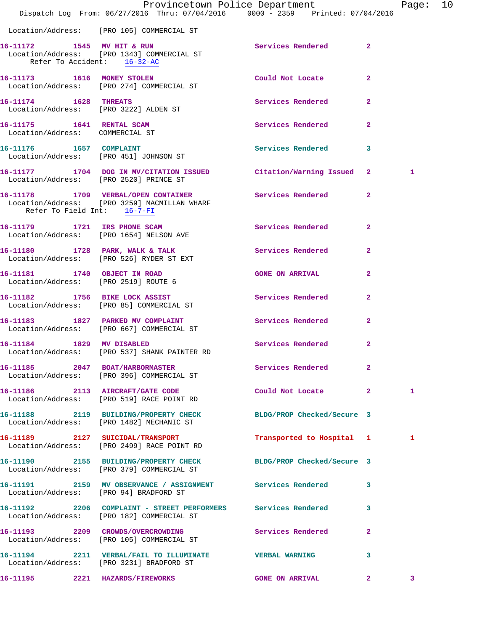|                                                                | Dispatch Log From: 06/27/2016 Thru: 07/04/2016   0000 - 2359   Printed: 07/04/2016                            | Provincetown Police Department |                | Page: 10 |  |
|----------------------------------------------------------------|---------------------------------------------------------------------------------------------------------------|--------------------------------|----------------|----------|--|
|                                                                | Location/Address: [PRO 105] COMMERCIAL ST                                                                     |                                |                |          |  |
| Refer To Accident: 16-32-AC                                    | 16-11172 1545 MV HIT & RUN<br>Location/Address: [PRO 1343] COMMERCIAL ST                                      | Services Rendered 2            |                |          |  |
|                                                                | 16-11173 1616 MONEY STOLEN<br>Location/Address: [PRO 274] COMMERCIAL ST                                       | Could Not Locate 2             |                |          |  |
| 16-11174 1628 THREATS<br>Location/Address: [PRO 3222] ALDEN ST |                                                                                                               | Services Rendered              | $\overline{2}$ |          |  |
| 16-11175 1641 RENTAL SCAM<br>Location/Address: COMMERCIAL ST   |                                                                                                               | Services Rendered 2            |                |          |  |
|                                                                | 16-11176 1657 COMPLAINT<br>Location/Address: [PRO 451] JOHNSON ST                                             | Services Rendered 3            |                |          |  |
|                                                                | 16-11177 1704 DOG IN MV/CITATION ISSUED Citation/Warning Issued 2<br>Location/Address: [PRO 2520] PRINCE ST   |                                |                | 1        |  |
| Refer To Field Int: 16-7-FI                                    | 16-11178 1709 VERBAL/OPEN CONTAINER<br>Location/Address: [PRO 3259] MACMILLAN WHARF                           | Services Rendered 2            |                |          |  |
|                                                                | 16-11179 1721 IRS PHONE SCAM<br>Location/Address: [PRO 1654] NELSON AVE                                       | Services Rendered              | $\mathbf{2}$   |          |  |
|                                                                | 16-11180 1728 PARK, WALK & TALK 1999 Services Rendered 2<br>Location/Address: [PRO 526] RYDER ST EXT          |                                |                |          |  |
| Location/Address: [PRO 2519] ROUTE 6                           | 16-11181 1740 OBJECT IN ROAD                                                                                  | <b>GONE ON ARRIVAL</b>         | $\mathbf{2}$   |          |  |
|                                                                | 16-11182 1756 BIKE LOCK ASSIST<br>Location/Address: [PRO 85] COMMERCIAL ST                                    | Services Rendered 2            |                |          |  |
|                                                                | 16-11183 1827 PARKED MV COMPLAINT<br>Location/Address: [PRO 667] COMMERCIAL ST                                | Services Rendered              | $\mathbf{2}$   |          |  |
| 16-11184 1829 MV DISABLED                                      | Location/Address: [PRO 537] SHANK PAINTER RD                                                                  | Services Rendered 2            |                |          |  |
|                                                                | 16-11185 2047 BOAT/HARBORMASTER Services Rendered<br>Location/Address: [PRO 396] COMMERCIAL ST                |                                | $\mathbf{2}$   |          |  |
|                                                                | 16-11186 2113 AIRCRAFT/GATE CODE<br>Location/Address: [PRO 519] RACE POINT RD                                 | Could Not Locate 2             |                | 1        |  |
|                                                                | 16-11188 2119 BUILDING/PROPERTY CHECK BLDG/PROP Checked/Secure 3<br>Location/Address: [PRO 1482] MECHANIC ST  |                                |                |          |  |
|                                                                | 16-11189 2127 SUICIDAL/TRANSPORT<br>Location/Address: [PRO 2499] RACE POINT RD                                | Transported to Hospital 1      |                | 1        |  |
|                                                                | 16-11190 2155 BUILDING/PROPERTY CHECK BLDG/PROP Checked/Secure 3<br>Location/Address: [PRO 379] COMMERCIAL ST |                                |                |          |  |
| Location/Address: [PRO 94] BRADFORD ST                         | 16-11191 2159 MV OBSERVANCE / ASSIGNMENT Services Rendered 3                                                  |                                |                |          |  |
|                                                                | 16-11192 2206 COMPLAINT - STREET PERFORMERS Services Rendered<br>Location/Address: [PRO 182] COMMERCIAL ST    |                                | 3              |          |  |
|                                                                | 16-11193 2209 CROWDS/OVERCROWDING Services Rendered<br>Location/Address: [PRO 105] COMMERCIAL ST              |                                | $\mathbf{2}$   |          |  |
|                                                                | 16-11194 2211 VERBAL/FAIL TO ILLUMINATE VERBAL WARNING<br>Location/Address: [PRO 3231] BRADFORD ST            |                                | 3              |          |  |
| 16-11195 2221 HAZARDS/FIREWORKS                                |                                                                                                               | <b>GONE ON ARRIVAL</b>         | $\mathbf{2}$   | 3        |  |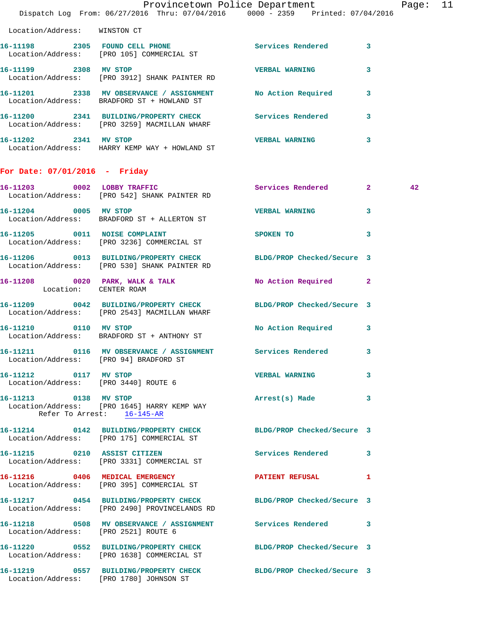|                                                               | Dispatch Log From: 06/27/2016 Thru: 07/04/2016 0000 - 2359 Printed: 07/04/2016                                    | Provincetown Police Department        | Page: 11 |  |
|---------------------------------------------------------------|-------------------------------------------------------------------------------------------------------------------|---------------------------------------|----------|--|
| Location/Address: WINSTON CT                                  |                                                                                                                   |                                       |          |  |
|                                                               | 16-11198 2305 FOUND CELL PHONE<br>Location/Address: [PRO 105] COMMERCIAL ST                                       | Services Rendered 3                   |          |  |
|                                                               | 16-11199 2308 MV STOP<br>Location/Address: [PRO 3912] SHANK PAINTER RD                                            | <b>VERBAL WARNING</b><br>$\mathbf{3}$ |          |  |
|                                                               | 16-11201 2338 MV OBSERVANCE / ASSIGNMENT No Action Required 3<br>Location/Address: BRADFORD ST + HOWLAND ST       |                                       |          |  |
|                                                               | 16-11200 2341 BUILDING/PROPERTY CHECK Services Rendered 3<br>Location/Address: [PRO 3259] MACMILLAN WHARF         |                                       |          |  |
| 16-11202 2341 MV STOP                                         | Location/Address: HARRY KEMP WAY + HOWLAND ST                                                                     | <b>VERBAL WARNING</b><br>$\mathbf{3}$ |          |  |
| For Date: 07/01/2016 - Friday                                 |                                                                                                                   |                                       |          |  |
|                                                               | 16-11203 0002 LOBBY TRAFFIC<br>Location/Address: [PRO 542] SHANK PAINTER RD                                       | Services Rendered 2                   | 42       |  |
| 16-11204 0005 MV STOP                                         | Location/Address: BRADFORD ST + ALLERTON ST                                                                       | <b>VERBAL WARNING</b><br>$\mathbf{3}$ |          |  |
|                                                               | 16-11205 0011 NOISE COMPLAINT<br>Location/Address: [PRO 3236] COMMERCIAL ST                                       | $\mathbf{3}$<br>SPOKEN TO             |          |  |
|                                                               | 16-11206 0013 BUILDING/PROPERTY CHECK BLDG/PROP Checked/Secure 3<br>Location/Address: [PRO 530] SHANK PAINTER RD  |                                       |          |  |
| Location: CENTER ROAM                                         | 16-11208 0020 PARK, WALK & TALK                                                                                   | No Action Required 2                  |          |  |
|                                                               | 16-11209 0042 BUILDING/PROPERTY CHECK BLDG/PROP Checked/Secure 3<br>Location/Address: [PRO 2543] MACMILLAN WHARF  |                                       |          |  |
| 16-11210 0110 MV STOP                                         | Location/Address: BRADFORD ST + ANTHONY ST                                                                        | No Action Required 3                  |          |  |
|                                                               | 16-11211 0116 MV OBSERVANCE / ASSIGNMENT Services Rendered 3<br>Location/Address: [PRO 94] BRADFORD ST            |                                       |          |  |
| 16-11212 0117 MV STOP<br>Location/Address: [PRO 3440] ROUTE 6 |                                                                                                                   | <b>VERBAL WARNING</b><br>3            |          |  |
| 16-11213 0138 MV STOP<br>Refer To Arrest: 16-145-AR           | Location/Address: [PRO 1645] HARRY KEMP WAY                                                                       | Arrest(s) Made 3                      |          |  |
|                                                               | 16-11214 0142 BUILDING/PROPERTY CHECK BLDG/PROP Checked/Secure 3<br>Location/Address: [PRO 175] COMMERCIAL ST     |                                       |          |  |
|                                                               | 16-11215 0210 ASSIST CITIZEN<br>Location/Address: [PRO 3331] COMMERCIAL ST                                        | Services Rendered 3                   |          |  |
|                                                               | 16-11216 0406 MEDICAL EMERGENCY<br>Location/Address: [PRO 395] COMMERCIAL ST                                      | PATIENT REFUSAL 1                     |          |  |
|                                                               | 16-11217 0454 BUILDING/PROPERTY CHECK BLDG/PROP Checked/Secure 3<br>Location/Address: [PRO 2490] PROVINCELANDS RD |                                       |          |  |
| Location/Address: [PRO 2521] ROUTE 6                          | 16-11218 0508 MV OBSERVANCE / ASSIGNMENT Services Rendered 3                                                      |                                       |          |  |
|                                                               | 16-11220 0552 BUILDING/PROPERTY CHECK BLDG/PROP Checked/Secure 3<br>Location/Address: [PRO 1638] COMMERCIAL ST    |                                       |          |  |
|                                                               | 16-11219 0557 BUILDING/PROPERTY CHECK BLDG/PROP Checked/Secure 3<br>Location/Address: [PRO 1780] JOHNSON ST       |                                       |          |  |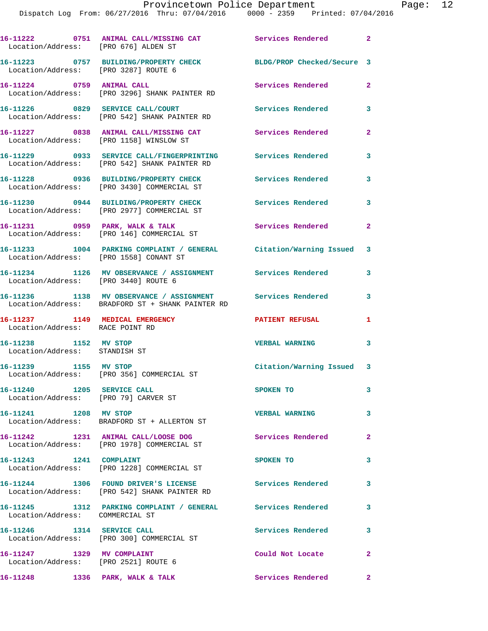|                                                        | 16-11222 0751 ANIMAL CALL/MISSING CAT Services Rendered<br>Location/Address: [PRO 676] ALDEN ST             |                           | $\mathbf{2}$ |
|--------------------------------------------------------|-------------------------------------------------------------------------------------------------------------|---------------------------|--------------|
|                                                        | 16-11223 0757 BUILDING/PROPERTY CHECK BLDG/PROP Checked/Secure 3<br>Location/Address: [PRO 3287] ROUTE 6    |                           |              |
| 16-11224 0759 ANIMAL CALL                              | Location/Address: [PRO 3296] SHANK PAINTER RD                                                               | <b>Services Rendered</b>  | $\mathbf{2}$ |
|                                                        | 16-11226 0829 SERVICE CALL/COURT<br>Location/Address: [PRO 542] SHANK PAINTER RD                            | Services Rendered         | 3            |
|                                                        | 16-11227 0838 ANIMAL CALL/MISSING CAT<br>Location/Address: [PRO 1158] WINSLOW ST                            | Services Rendered         | 2            |
|                                                        | 16-11229 0933 SERVICE CALL/FINGERPRINTING<br>Location/Address: [PRO 542] SHANK PAINTER RD                   | Services Rendered         | 3            |
|                                                        | 16-11228 0936 BUILDING/PROPERTY CHECK<br>Location/Address: [PRO 3430] COMMERCIAL ST                         | <b>Services Rendered</b>  | 3            |
|                                                        | 16-11230 0944 BUILDING/PROPERTY CHECK<br>Location/Address: [PRO 2977] COMMERCIAL ST                         | <b>Services Rendered</b>  | 3            |
|                                                        | 16-11231 0959 PARK, WALK & TALK<br>Location/Address: [PRO 146] COMMERCIAL ST                                | Services Rendered         | $\mathbf{2}$ |
|                                                        | 16-11233 1004 PARKING COMPLAINT / GENERAL Citation/Warning Issued<br>Location/Address: [PRO 1558] CONANT ST |                           | 3            |
|                                                        | 16-11234 1126 MV OBSERVANCE / ASSIGNMENT Services Rendered<br>Location/Address: [PRO 3440] ROUTE 6          |                           | 3            |
|                                                        |                                                                                                             |                           |              |
|                                                        | 16-11236 1138 MV OBSERVANCE / ASSIGNMENT<br>Location/Address: BRADFORD ST + SHANK PAINTER RD                | Services Rendered         | 3            |
| Location/Address: RACE POINT RD                        | 16-11237 1149 MEDICAL EMERGENCY                                                                             | <b>PATIENT REFUSAL</b>    | 1            |
| 16-11238 1152 MV STOP<br>Location/Address: STANDISH ST |                                                                                                             | <b>VERBAL WARNING</b>     | 3            |
| 16-11239 1155 MV STOP                                  | Location/Address: [PRO 356] COMMERCIAL ST                                                                   | Citation/Warning Issued 3 |              |
|                                                        | Location/Address: [PRO 79] CARVER ST                                                                        | SPOKEN TO                 | 3            |
| 16-11241 1208 MV STOP                                  | Location/Address: BRADFORD ST + ALLERTON ST                                                                 | <b>VERBAL WARNING</b>     | 3            |
|                                                        | 16-11242 1231 ANIMAL CALL/LOOSE DOG<br>Location/Address: [PRO 1978] COMMERCIAL ST                           | <b>Services Rendered</b>  | $\mathbf{2}$ |
| 16-11243 1241 COMPLAINT                                | Location/Address: [PRO 1228] COMMERCIAL ST                                                                  | SPOKEN TO                 | 3            |
|                                                        | 16-11244 1306 FOUND DRIVER'S LICENSE<br>Location/Address: [PRO 542] SHANK PAINTER RD                        | Services Rendered         | 3            |
| Location/Address: COMMERCIAL ST                        | 16-11245 1312 PARKING COMPLAINT / GENERAL Services Rendered                                                 |                           | 3            |
|                                                        | 16-11246 1314 SERVICE CALL<br>Location/Address: [PRO 300] COMMERCIAL ST                                     | Services Rendered         | 3            |
| 16-11247 1329 MV COMPLAINT                             | Location/Address: [PRO 2521] ROUTE 6                                                                        | Could Not Locate          | $\mathbf{2}$ |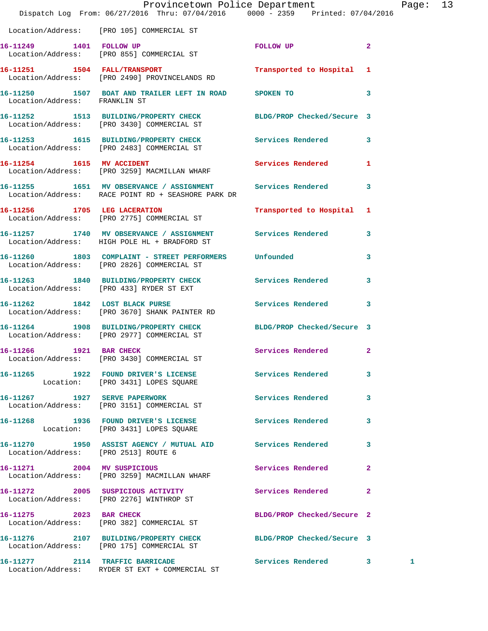|                                      | Dispatch Log From: 06/27/2016 Thru: 07/04/2016 0000 - 2359 Printed: 07/04/2016                                     | Provincetown Police Department |                         | Page: 13 |  |
|--------------------------------------|--------------------------------------------------------------------------------------------------------------------|--------------------------------|-------------------------|----------|--|
|                                      | Location/Address: [PRO 105] COMMERCIAL ST                                                                          |                                |                         |          |  |
| 16-11249 1401 FOLLOW UP              | Location/Address: [PRO 855] COMMERCIAL ST                                                                          | FOLLOW UP                      | $\overline{a}$          |          |  |
|                                      | 16-11251 1504 FALL/TRANSPORT<br>Location/Address: [PRO 2490] PROVINCELANDS RD                                      | Transported to Hospital 1      |                         |          |  |
| Location/Address: FRANKLIN ST        | 16-11250 1507 BOAT AND TRAILER LEFT IN ROAD SPOKEN TO                                                              | $\sim$ 3                       |                         |          |  |
|                                      | 16-11252 1513 BUILDING/PROPERTY CHECK<br>Location/Address: [PRO 3430] COMMERCIAL ST                                | BLDG/PROP Checked/Secure 3     |                         |          |  |
|                                      | 16-11253 1615 BUILDING/PROPERTY CHECK Services Rendered 3<br>Location/Address: [PRO 2483] COMMERCIAL ST            |                                |                         |          |  |
|                                      | 16-11254 1615 MV ACCIDENT<br>Location/Address: [PRO 3259] MACMILLAN WHARF                                          | Services Rendered              | 1                       |          |  |
|                                      | 16-11255 1651 MV OBSERVANCE / ASSIGNMENT Services Rendered 3<br>Location/Address: RACE POINT RD + SEASHORE PARK DR |                                |                         |          |  |
|                                      | 16-11256 1705 LEG LACERATION<br>Location/Address: [PRO 2775] COMMERCIAL ST                                         | Transported to Hospital 1      |                         |          |  |
|                                      | 16-11257 1740 MV OBSERVANCE / ASSIGNMENT Services Rendered<br>Location/Address: HIGH POLE HL + BRADFORD ST         |                                | $\mathbf{3}$            |          |  |
|                                      | 16-11260 1803 COMPLAINT - STREET PERFORMERS Unfounded<br>Location/Address: [PRO 2826] COMMERCIAL ST                |                                | 3                       |          |  |
|                                      | 16-11263 1840 BUILDING/PROPERTY CHECK Services Rendered<br>Location/Address: [PRO 433] RYDER ST EXT                |                                | $\mathbf{3}$            |          |  |
|                                      | 16-11262 1842 LOST BLACK PURSE 2008 Services Rendered 3<br>Location/Address: [PRO 3670] SHANK PAINTER RD           |                                |                         |          |  |
|                                      | 16-11264 1908 BUILDING/PROPERTY CHECK<br>Location/Address: [PRO 2977] COMMERCIAL ST                                | BLDG/PROP Checked/Secure 3     |                         |          |  |
| 16-11266 1921 BAR CHECK              | Location/Address: [PRO 3430] COMMERCIAL ST                                                                         | Services Rendered 2            |                         |          |  |
|                                      | 16-11265 1922 FOUND DRIVER'S LICENSE<br>Location: [PRO 3431] LOPES SQUARE                                          | Services Rendered 3            |                         |          |  |
|                                      | 16-11267 1927 SERVE PAPERWORK<br>Location/Address: [PRO 3151] COMMERCIAL ST                                        | Services Rendered              | $\overline{\mathbf{3}}$ |          |  |
|                                      | 16-11268 1936 FOUND DRIVER'S LICENSE<br>Location: [PRO 3431] LOPES SQUARE                                          | Services Rendered              | $\mathbf{3}$            |          |  |
| Location/Address: [PRO 2513] ROUTE 6 | 16-11270 1950 ASSIST AGENCY / MUTUAL AID Services Rendered                                                         |                                | 3                       |          |  |
|                                      | 16-11271 2004 MV SUSPICIOUS<br>Location/Address: [PRO 3259] MACMILLAN WHARF                                        | Services Rendered              | $\mathbf{2}$            |          |  |
|                                      | 16-11272 2005 SUSPICIOUS ACTIVITY<br>Location/Address: [PRO 2276] WINTHROP ST                                      | Services Rendered              | $\mathbf{2}$            |          |  |
|                                      | 16-11275 2023 BAR CHECK<br>Location/Address: [PRO 382] COMMERCIAL ST                                               | BLDG/PROP Checked/Secure 2     |                         |          |  |
|                                      | 16-11276 2107 BUILDING/PROPERTY CHECK BLDG/PROP Checked/Secure 3<br>Location/Address: [PRO 175] COMMERCIAL ST      |                                |                         |          |  |
|                                      | 16-11277 2114 TRAFFIC BARRICADE<br>Location/Address: RYDER ST EXT + COMMERCIAL ST                                  | Services Rendered 3            |                         | 1        |  |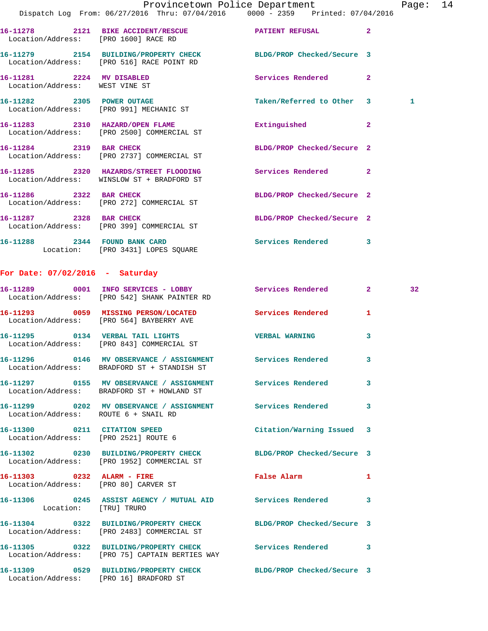|                                      | Dispatch Log From: 06/27/2016 Thru: 07/04/2016   0000 - 2359   Printed: 07/04/2016                             | Provincetown Police Department |              | Page: 14 |  |
|--------------------------------------|----------------------------------------------------------------------------------------------------------------|--------------------------------|--------------|----------|--|
| Location/Address: [PRO 1600] RACE RD | 16-11278 2121 BIKE ACCIDENT/RESCUE PATIENT REFUSAL 2                                                           |                                |              |          |  |
|                                      | 16-11279 2154 BUILDING/PROPERTY CHECK BLDG/PROP Checked/Secure 3<br>Location/Address: [PRO 516] RACE POINT RD  |                                |              |          |  |
| Location/Address: WEST VINE ST       | 16-11281 2224 MV DISABLED                                                                                      | Services Rendered 2            |              |          |  |
|                                      | 16-11282 2305 POWER OUTAGE<br>Location/Address: [PRO 991] MECHANIC ST                                          | Taken/Referred to Other 3      |              | 1        |  |
|                                      | 16-11283 2310 HAZARD/OPEN FLAME<br>Location/Address: [PRO 2500] COMMERCIAL ST                                  | Extinguished                   | $\mathbf{2}$ |          |  |
| 16-11284 2319 BAR CHECK              | Location/Address: [PRO 2737] COMMERCIAL ST                                                                     | BLDG/PROP Checked/Secure 2     |              |          |  |
|                                      | 16-11285 2320 HAZARDS/STREET FLOODING Services Rendered 2<br>Location/Address: WINSLOW ST + BRADFORD ST        |                                |              |          |  |
| 16-11286 2322 BAR CHECK              | Location/Address: [PRO 272] COMMERCIAL ST                                                                      | BLDG/PROP Checked/Secure 2     |              |          |  |
|                                      | 16-11287 2328 BAR CHECK<br>Location/Address: [PRO 399] COMMERCIAL ST                                           | BLDG/PROP Checked/Secure 2     |              |          |  |
|                                      | 16-11288 2344 FOUND BANK CARD<br>Location: [PRO 3431] LOPES SQUARE                                             | Services Rendered 3            |              |          |  |
| For Date: $07/02/2016$ - Saturday    |                                                                                                                |                                |              |          |  |
|                                      | 16-11289 0001 INFO SERVICES - LOBBY Services Rendered 2<br>Location/Address: [PRO 542] SHANK PAINTER RD        |                                |              | 32       |  |
|                                      | 16-11293 0059 MISSING PERSON/LOCATED Services Rendered 1<br>Location/Address: [PRO 564] BAYBERRY AVE           |                                |              |          |  |
|                                      | 16-11295 0134 VERBAL TAIL LIGHTS<br>Location/Address: [PRO 843] COMMERCIAL ST                                  | <b>VERBAL WARNING</b>          | 3            |          |  |
|                                      | 16-11296 0146 MV OBSERVANCE / ASSIGNMENT<br>Location/Address: BRADFORD ST + STANDISH ST                        | Services Rendered              | 3            |          |  |
|                                      | 16-11297 0155 MV OBSERVANCE / ASSIGNMENT Services Rendered 3<br>Location/Address: BRADFORD ST + HOWLAND ST     |                                |              |          |  |
| Location/Address: ROUTE 6 + SNAIL RD | 16-11299 0202 MV OBSERVANCE / ASSIGNMENT Services Rendered                                                     |                                | 3            |          |  |
|                                      | 16-11300 0211 CITATION SPEED<br>Location/Address: [PRO 2521] ROUTE 6                                           | Citation/Warning Issued 3      |              |          |  |
|                                      | 16-11302 0230 BUILDING/PROPERTY CHECK<br>Location/Address: [PRO 1952] COMMERCIAL ST                            | BLDG/PROP Checked/Secure 3     |              |          |  |
|                                      | 16-11303 0232 ALARM - FIRE<br>Location/Address: [PRO 80] CARVER ST                                             | False Alarm                    | 1            |          |  |
| Location: [TRU] TRURO                | 16-11306 0245 ASSIST AGENCY / MUTUAL AID Services Rendered 3                                                   |                                |              |          |  |
|                                      | 16-11304 0322 BUILDING/PROPERTY CHECK BLDG/PROP Checked/Secure 3<br>Location/Address: [PRO 2483] COMMERCIAL ST |                                |              |          |  |
|                                      | 16-11305 0322 BUILDING/PROPERTY CHECK Services Rendered 3<br>Location/Address: [PRO 75] CAPTAIN BERTIES WAY    |                                |              |          |  |
|                                      | 16-11309 0529 BUILDING/PROPERTY CHECK BLDG/PROP Checked/Secure 3                                               |                                |              |          |  |

Location/Address: [PRO 16] BRADFORD ST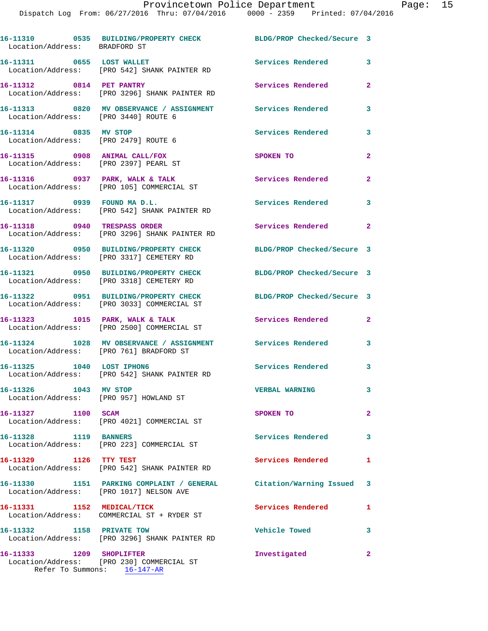| Location/Address: BRADFORD ST                                          | 16-11310 0535 BUILDING/PROPERTY CHECK                                                                 | BLDG/PROP Checked/Secure 3 |                |
|------------------------------------------------------------------------|-------------------------------------------------------------------------------------------------------|----------------------------|----------------|
| 16-11311 0655 LOST WALLET                                              | Location/Address: [PRO 542] SHANK PAINTER RD                                                          | Services Rendered          | 3              |
| 16-11312 0814 PET PANTRY                                               | Location/Address: [PRO 3296] SHANK PAINTER RD                                                         | Services Rendered          | $\mathbf{2}$   |
| Location/Address: [PRO 3440] ROUTE 6                                   | 16-11313 0820 MV OBSERVANCE / ASSIGNMENT Services Rendered                                            |                            | 3              |
| 16-11314 0835 MV STOP<br>Location/Address: [PRO 2479] ROUTE 6          |                                                                                                       | <b>Services Rendered</b>   | 3              |
| 16-11315 0908 ANIMAL CALL/FOX<br>Location/Address: [PRO 2397] PEARL ST |                                                                                                       | SPOKEN TO                  | $\overline{2}$ |
|                                                                        | 16-11316 0937 PARK, WALK & TALK<br>Location/Address: [PRO 105] COMMERCIAL ST                          | Services Rendered          | $\overline{a}$ |
| 16-11317 0939 FOUND MAD.L.                                             | Location/Address: [PRO 542] SHANK PAINTER RD                                                          | <b>Services Rendered</b>   | 3              |
|                                                                        | 16-11318 0940 TRESPASS ORDER<br>Location/Address: [PRO 3296] SHANK PAINTER RD                         | <b>Services Rendered</b>   | $\overline{2}$ |
|                                                                        | 16-11320 0950 BUILDING/PROPERTY CHECK<br>Location/Address: [PRO 3317] CEMETERY RD                     | BLDG/PROP Checked/Secure 3 |                |
|                                                                        | 16-11321 0950 BUILDING/PROPERTY CHECK<br>Location/Address: [PRO 3318] CEMETERY RD                     | BLDG/PROP Checked/Secure 3 |                |
|                                                                        | 16-11322 0951 BUILDING/PROPERTY CHECK<br>Location/Address: [PRO 3033] COMMERCIAL ST                   | BLDG/PROP Checked/Secure 3 |                |
|                                                                        | 16-11323 1015 PARK, WALK & TALK<br>Location/Address: [PRO 2500] COMMERCIAL ST                         | Services Rendered          | $\mathbf{2}$   |
|                                                                        | 16-11324 1028 MV OBSERVANCE / ASSIGNMENT Services Rendered<br>Location/Address: [PRO 761] BRADFORD ST |                            | 3              |
| 16-11325 1040 LOST IPHON6                                              | Location/Address: [PRO 542] SHANK PAINTER RD                                                          | Services Rendered 3        |                |
| 16-11326<br>1043 MV STOP<br>Location/Address: [PRO 957] HOWLAND ST     |                                                                                                       | <b>VERBAL WARNING</b>      | 3              |
| 16-11327 1100 SCAM                                                     | Location/Address: [PRO 4021] COMMERCIAL ST                                                            | SPOKEN TO                  | $\overline{a}$ |
| 16-11328 1119 BANNERS                                                  | Location/Address: [PRO 223] COMMERCIAL ST                                                             | Services Rendered          | 3              |
| 16-11329 1126 TTY TEST                                                 | Location/Address: [PRO 542] SHANK PAINTER RD                                                          | <b>Services Rendered</b>   | 1              |
|                                                                        | 16-11330 1151 PARKING COMPLAINT / GENERAL<br>Location/Address: [PRO 1017] NELSON AVE                  | Citation/Warning Issued 3  |                |
| 16-11331 1152 MEDICAL/TICK                                             | Location/Address: COMMERCIAL ST + RYDER ST                                                            | Services Rendered          | 1              |
| 16-11332 1158 PRIVATE TOW                                              | Location/Address: [PRO 3296] SHANK PAINTER RD                                                         | <b>Vehicle Towed</b>       | 3              |
| 16-11333 1209 SHOPLIFTER                                               | Location/Address: [PRO 230] COMMERCIAL ST                                                             | Investigated               | $\mathbf{2}$   |

Refer To Summons: 16-147-AR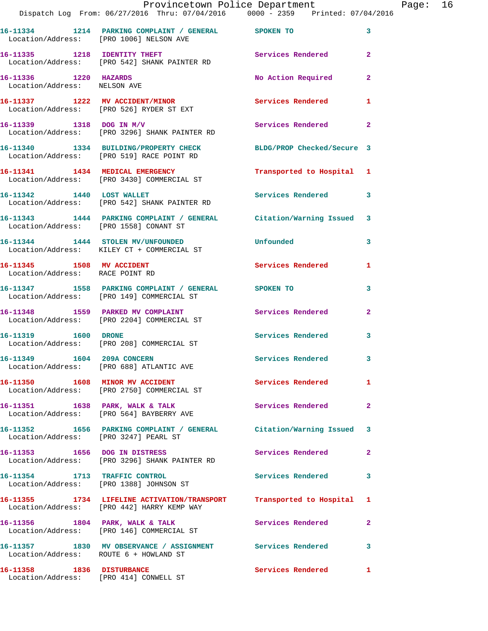|                                                              | Provincetown Police Department<br>Dispatch Log From: 06/27/2016 Thru: 07/04/2016 0000 - 2359 Printed: 07/04/2016 |                           |                         | Page: 16 |  |
|--------------------------------------------------------------|------------------------------------------------------------------------------------------------------------------|---------------------------|-------------------------|----------|--|
|                                                              | 16-11334 1214 PARKING COMPLAINT / GENERAL SPOKEN TO<br>Location/Address: [PRO 1006] NELSON AVE                   |                           | $\mathbf{3}$            |          |  |
|                                                              | 16-11335 1218 IDENTITY THEFT Services Rendered<br>Location/Address: [PRO 542] SHANK PAINTER RD                   |                           | $\mathbf{2}$            |          |  |
| 16-11336 1220 HAZARDS<br>Location/Address: NELSON AVE        |                                                                                                                  | No Action Required        | $\mathbf{2}$            |          |  |
|                                                              | 16-11337 1222 MV ACCIDENT/MINOR<br>Location/Address: [PRO 526] RYDER ST EXT                                      | Services Rendered         | $\mathbf{1}$            |          |  |
|                                                              | 16-11339 1318 DOG IN M/V<br>Location/Address: [PRO 3296] SHANK PAINTER RD                                        | Services Rendered         | $\mathbf{2}$            |          |  |
|                                                              | 16-11340 1334 BUILDING/PROPERTY CHECK BLDG/PROP Checked/Secure 3<br>Location/Address: [PRO 519] RACE POINT RD    |                           |                         |          |  |
|                                                              | 16-11341 1434 MEDICAL EMERGENCY<br>Location/Address: [PRO 3430] COMMERCIAL ST                                    | Transported to Hospital 1 |                         |          |  |
|                                                              | 16-11342 1440 LOST WALLET<br>Location/Address: [PRO 542] SHANK PAINTER RD                                        | Services Rendered         | 3                       |          |  |
|                                                              | 16-11343 1444 PARKING COMPLAINT / GENERAL Citation/Warning Issued 3<br>Location/Address: [PRO 1558] CONANT ST    |                           |                         |          |  |
|                                                              | 16-11344 1444 STOLEN MV/UNFOUNDED Unfounded<br>Location/Address: KILEY CT + COMMERCIAL ST                        |                           | 3                       |          |  |
| 16-11345 1508 MV ACCIDENT<br>Location/Address: RACE POINT RD |                                                                                                                  | Services Rendered 1       |                         |          |  |
|                                                              | 16-11347 1558 PARKING COMPLAINT / GENERAL SPOKEN TO<br>Location/Address: [PRO 149] COMMERCIAL ST                 |                           | 3                       |          |  |
|                                                              | 16-11348 1559 PARKED MV COMPLAINT Services Rendered<br>Location/Address: [PRO 2204] COMMERCIAL ST                |                           | $\mathbf{2}$            |          |  |
|                                                              | 16-11319    1600 DRONE<br>Location/Address: [PRO 208] COMMERCIAL ST                                              | Services Rendered 3       |                         |          |  |
|                                                              | 16-11349 1604 209A CONCERN Services Rendered<br>Location/Address: [PRO 688] ATLANTIC AVE                         |                           | $\overline{\mathbf{3}}$ |          |  |
|                                                              | 16-11350 1608 MINOR MV ACCIDENT Services Rendered<br>Location/Address: [PRO 2750] COMMERCIAL ST                  |                           | $\mathbf{1}$            |          |  |
|                                                              | 16-11351 1638 PARK, WALK & TALK<br>Location/Address: [PRO 564] BAYBERRY AVE                                      | <b>Services Rendered</b>  | $\mathbf{2}$            |          |  |
|                                                              | 16-11352 1656 PARKING COMPLAINT / GENERAL Citation/Warning Issued 3<br>Location/Address: [PRO 3247] PEARL ST     |                           |                         |          |  |
|                                                              | 16-11353 1656 DOG IN DISTRESS<br>Location/Address: [PRO 3296] SHANK PAINTER RD                                   | Services Rendered         | $\mathbf{2}$            |          |  |
|                                                              | 16-11354 1713 TRAFFIC CONTROL<br>Location/Address: [PRO 1388] JOHNSON ST                                         | Services Rendered         | 3                       |          |  |
|                                                              | 16-11355 1734 LIFELINE ACTIVATION/TRANSPORT<br>Location/Address: [PRO 442] HARRY KEMP WAY                        | Transported to Hospital 1 |                         |          |  |
|                                                              | 16-11356 1804 PARK, WALK & TALK<br>Location/Address: [PRO 146] COMMERCIAL ST                                     | Services Rendered         | $\mathbf{2}$            |          |  |
| Location/Address: ROUTE 6 + HOWLAND ST                       | 16-11357 1830 MV OBSERVANCE / ASSIGNMENT Services Rendered                                                       |                           | 3                       |          |  |
|                                                              | 16-11358 1836 DISTURBANCE<br>Location/Address: [PRO 414] CONWELL ST                                              | Services Rendered         | 1                       |          |  |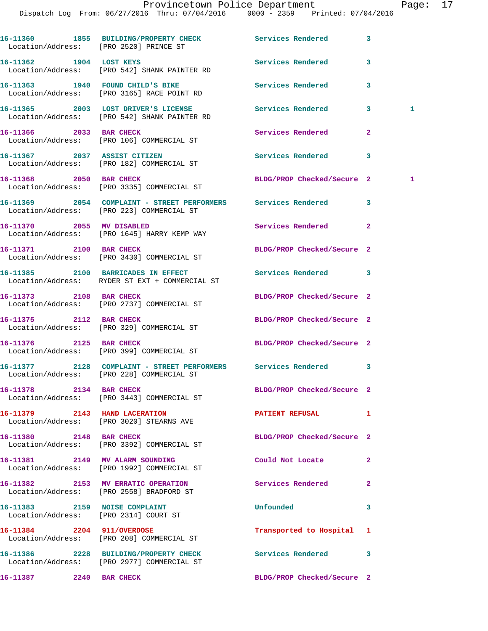Dispatch Log From: 06/27/2016 Thru: 07/04/2016 0000 - 2359 Printed: 07/04/2016 **16-11360 1855 BUILDING/PROPERTY CHECK Services Rendered 3**  Location/Address: [PRO 2520] PRINCE ST **16-11362 1904 LOST KEYS Services Rendered 3**  Location/Address: [PRO 542] SHANK PAINTER RD **16-11363 1940 FOUND CHILD'S BIKE Services Rendered 3**  Location/Address: [PRO 3165] RACE POINT RD **16-11365 2003 LOST DRIVER'S LICENSE Services Rendered 3 1**  Location/Address: [PRO 542] SHANK PAINTER RD **16-11366 2033 BAR CHECK Services Rendered 2**  Location/Address: [PRO 106] COMMERCIAL ST **16-11367 2037 ASSIST CITIZEN Services Rendered 3**  Location/Address: [PRO 182] COMMERCIAL ST **16-11368 2050 BAR CHECK BLDG/PROP Checked/Secure 2 1**  Location/Address: [PRO 3335] COMMERCIAL ST **16-11369 2054 COMPLAINT - STREET PERFORMERS Services Rendered 3**  Location/Address: [PRO 223] COMMERCIAL ST **16-11370 2055 MV DISABLED Services Rendered 2**  Location/Address: [PRO 1645] HARRY KEMP WAY **16-11371 2100 BAR CHECK BLDG/PROP Checked/Secure 2**  Location/Address: [PRO 3430] COMMERCIAL ST **16-11385 2100 BARRICADES IN EFFECT Services Rendered 3**  Location/Address: RYDER ST EXT + COMMERCIAL ST **16-11373 2108 BAR CHECK BLDG/PROP Checked/Secure 2**  Location/Address: [PRO 2737] COMMERCIAL ST **16-11375** 2112 BAR CHECK BLDG/PROP Checked/Secure 2 Location/Address: [PRO 329] COMMERCIAL ST **16-11376 2125 BAR CHECK BLDG/PROP Checked/Secure 2**  Location/Address: [PRO 399] COMMERCIAL ST **16-11377 2128 COMPLAINT - STREET PERFORMERS Services Rendered 3**  Location/Address: [PRO 228] COMMERCIAL ST **16-11378 2134 BAR CHECK BLDG/PROP Checked/Secure 2**  Location/Address: [PRO 3443] COMMERCIAL ST **16-11379 2143 HAND LACERATION PATIENT REFUSAL 1**  Location/Address: [PRO 3020] STEARNS AVE **16-11380 2148 BAR CHECK BLDG/PROP Checked/Secure 2**  Location/Address: [PRO 3392] COMMERCIAL ST **16-11381 2149 MV ALARM SOUNDING Could Not Locate 2**  Location/Address: [PRO 1992] COMMERCIAL ST **16-11382 2153 MV ERRATIC OPERATION Services Rendered 2**  Location/Address: [PRO 2558] BRADFORD ST **16-11383 2159 NOISE COMPLAINT Unfounded 3**  Location/Address: [PRO 2314] COURT ST **16-11384 2204 911/OVERDOSE Transported to Hospital 1**  Location/Address: [PRO 208] COMMERCIAL ST

**16-11386 2228 BUILDING/PROPERTY CHECK Services Rendered 3**  Location/Address: [PRO 2977] COMMERCIAL ST

**16-11387 2240 BAR CHECK BLDG/PROP Checked/Secure 2**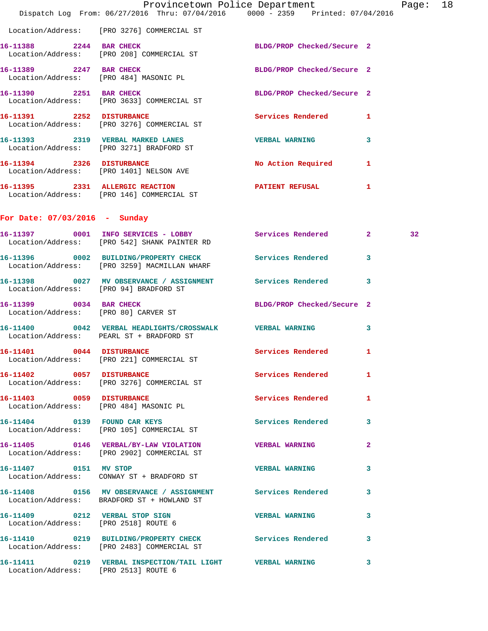|                                        | Dispatch Log From: 06/27/2016 Thru: 07/04/2016 0000 - 2359 Printed: 07/04/2016                             | Provincetown Police Department |              | Page: 18 |  |
|----------------------------------------|------------------------------------------------------------------------------------------------------------|--------------------------------|--------------|----------|--|
|                                        | Location/Address: [PRO 3276] COMMERCIAL ST                                                                 |                                |              |          |  |
| 16-11388 2244 BAR CHECK                | Location/Address: [PRO 208] COMMERCIAL ST                                                                  | BLDG/PROP Checked/Secure 2     |              |          |  |
|                                        | 16-11389 2247 BAR CHECK<br>Location/Address: [PRO 484] MASONIC PL                                          | BLDG/PROP Checked/Secure 2     |              |          |  |
| 16-11390 2251 BAR CHECK                | Location/Address: [PRO 3633] COMMERCIAL ST                                                                 | BLDG/PROP Checked/Secure 2     |              |          |  |
|                                        | 16-11391 2252 DISTURBANCE<br>Location/Address: [PRO 3276] COMMERCIAL ST                                    | <b>Services Rendered</b> 1     |              |          |  |
|                                        | 16-11393 2319 VERBAL MARKED LANES<br>Location/Address: [PRO 3271] BRADFORD ST                              | <b>VERBAL WARNING</b>          | $\mathbf{3}$ |          |  |
|                                        | 16-11394 2326 DISTURBANCE<br>Location/Address: [PRO 1401] NELSON AVE                                       | No Action Required 1           |              |          |  |
|                                        | 16-11395 2331 ALLERGIC REACTION<br>Location/Address: [PRO 146] COMMERCIAL ST                               | PATIENT REFUSAL                | $\mathbf{1}$ |          |  |
| For Date: $07/03/2016$ - Sunday        |                                                                                                            |                                |              |          |  |
|                                        | 16-11397 0001 INFO SERVICES - LOBBY Services Rendered 2<br>Location/Address: [PRO 542] SHANK PAINTER RD    |                                |              | 32       |  |
|                                        | 16-11396 0002 BUILDING/PROPERTY CHECK Services Rendered 3<br>Location/Address: [PRO 3259] MACMILLAN WHARF  |                                |              |          |  |
| Location/Address: [PRO 94] BRADFORD ST | 16-11398 0027 MV OBSERVANCE / ASSIGNMENT Services Rendered 3                                               |                                |              |          |  |
| 16-11399 0034 BAR CHECK                | Location/Address: [PRO 80] CARVER ST                                                                       | BLDG/PROP Checked/Secure 2     |              |          |  |
|                                        | 16-11400 0042 VERBAL HEADLIGHTS/CROSSWALK VERBAL WARNING<br>Location/Address: PEARL ST + BRADFORD ST       |                                | $\mathbf{3}$ |          |  |
| 16-11401 0044 DISTURBANCE              | Location/Address: [PRO 221] COMMERCIAL ST                                                                  | Services Rendered 1            |              |          |  |
|                                        | 16-11402 0057 DISTURBANCE Services Rendered 1<br>Location/Address: [PRO 3276] COMMERCIAL ST                |                                |              |          |  |
|                                        | 16-11403 0059 DISTURBANCE<br>Location/Address: [PRO 484] MASONIC PL                                        | Services Rendered 1            |              |          |  |
|                                        | 16-11404 0139 FOUND CAR KEYS<br>Location/Address: [PRO 105] COMMERCIAL ST                                  | Services Rendered 3            |              |          |  |
|                                        | 16-11405  0146  VERBAL/BY-LAW VIOLATION  VERBAL WARNING<br>Location/Address: [PRO 2902] COMMERCIAL ST      |                                | $\mathbf{2}$ |          |  |
| 16-11407 0151 MV STOP                  | Location/Address: CONWAY ST + BRADFORD ST                                                                  | VERBAL WARNING 3               |              |          |  |
|                                        | 16-11408 0156 MV OBSERVANCE / ASSIGNMENT Services Rendered 3<br>Location/Address: BRADFORD ST + HOWLAND ST |                                |              |          |  |
| Location/Address: [PRO 2518] ROUTE 6   | 16-11409 0212 VERBAL STOP SIGN WERBAL WARNING 3                                                            |                                |              |          |  |
|                                        | 16-11410 0219 BUILDING/PROPERTY CHECK Services Rendered 3<br>Location/Address: [PRO 2483] COMMERCIAL ST    |                                |              |          |  |
| Location/Address: [PRO 2513] ROUTE 6   | 16-11411  0219  VERBAL INSPECTION/TAIL LIGHT  VERBAL WARNING                                               |                                | 3            |          |  |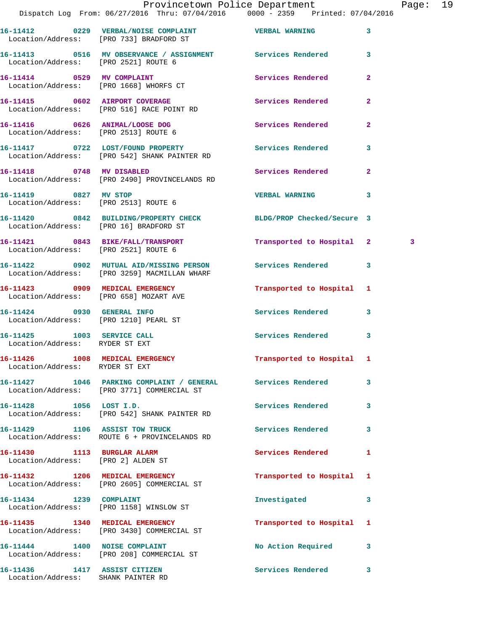|                                                                     | Dispatch Log From: 06/27/2016 Thru: 07/04/2016 0000 - 2359 Printed: 07/04/2016                                   | Provincetown Police Department | Pag            |   |
|---------------------------------------------------------------------|------------------------------------------------------------------------------------------------------------------|--------------------------------|----------------|---|
|                                                                     | 16-11412     0229   VERBAL/NOISE COMPLAINT          VERBAL WARNING<br>Location/Address:    [PRO 733] BRADFORD ST |                                | 3              |   |
| Location/Address: [PRO 2521] ROUTE 6                                | 16-11413 0516 MV OBSERVANCE / ASSIGNMENT Services Rendered                                                       |                                | 3              |   |
|                                                                     | 16-11414 0529 MV COMPLAINT<br>Location/Address: [PRO 1668] WHORFS CT                                             | Services Rendered              | $\overline{a}$ |   |
|                                                                     | 16-11415 0602 AIRPORT COVERAGE<br>Location/Address: [PRO 516] RACE POINT RD                                      | Services Rendered              | $\overline{a}$ |   |
|                                                                     | 16-11416 0626 ANIMAL/LOOSE DOG<br>Location/Address: [PRO 2513] ROUTE 6                                           | Services Rendered              | $\overline{a}$ |   |
|                                                                     | 16-11417 0722 LOST/FOUND PROPERTY Services Rendered<br>Location/Address: [PRO 542] SHANK PAINTER RD              |                                | 3              |   |
|                                                                     | 16-11418 0748 MV DISABLED<br>Location/Address: [PRO 2490] PROVINCELANDS RD                                       | Services Rendered              | $\overline{a}$ |   |
| 16-11419 0827 MV STOP<br>Location/Address: [PRO 2513] ROUTE 6       |                                                                                                                  | <b>VERBAL WARNING</b>          | 3              |   |
| Location/Address: [PRO 16] BRADFORD ST                              | 16-11420 0842 BUILDING/PROPERTY CHECK BLDG/PROP Checked/Secure 3                                                 |                                |                |   |
| Location/Address: [PRO 2521] ROUTE 6                                | 16-11421 0843 BIKE/FALL/TRANSPORT                                                                                | Transported to Hospital 2      |                | 3 |
|                                                                     | 16-11422 0902 MUTUAL AID/MISSING PERSON Services Rendered<br>Location/Address: [PRO 3259] MACMILLAN WHARF        |                                | 3              |   |
| Location/Address: [PRO 658] MOZART AVE                              | 16-11423 0909 MEDICAL EMERGENCY                                                                                  | Transported to Hospital 1      |                |   |
| 16-11424 0930 GENERAL INFO<br>Location/Address: [PRO 1210] PEARL ST |                                                                                                                  | Services Rendered              | 3              |   |
| 16-11425 1003 SERVICE CALL<br>Location/Address: RYDER ST EXT        |                                                                                                                  | Services Rendered              | 3              |   |
| Location/Address: RYDER ST EXT                                      | 16-11426   1008   MEDICAL EMERGENCY                                                                              | Transported to Hospital 1      |                |   |
|                                                                     | 16-11427 1046 PARKING COMPLAINT / GENERAL Services Rendered<br>Location/Address: [PRO 3771] COMMERCIAL ST        |                                | 3              |   |
| 16-11428 1056 LOST I.D.                                             | Location/Address: [PRO 542] SHANK PAINTER RD                                                                     | <b>Services Rendered</b>       | 3              |   |
| 16-11429 1106 ASSIST TOW TRUCK                                      | Location/Address: ROUTE 6 + PROVINCELANDS RD                                                                     | <b>Services Rendered</b>       | 3              |   |
| 16-11430 1113 BURGLAR ALARM<br>Location/Address: [PRO 2] ALDEN ST   |                                                                                                                  | <b>Services Rendered</b>       | 1              |   |
|                                                                     | 16-11432 1206 MEDICAL EMERGENCY<br>Location/Address: [PRO 2605] COMMERCIAL ST                                    | Transported to Hospital        | 1              |   |
| 16-11434 1239 COMPLAINT                                             | Location/Address: [PRO 1158] WINSLOW ST                                                                          | Investigated                   | 3              |   |
|                                                                     | 16-11435 1340 MEDICAL EMERGENCY<br>Location/Address: [PRO 3430] COMMERCIAL ST                                    | Transported to Hospital 1      |                |   |
| 16-11444 1400 NOISE COMPLAINT                                       | Location/Address: [PRO 208] COMMERCIAL ST                                                                        | No Action Required             | 3              |   |
| 16-11436 1417 ASSIST CITIZEN                                        |                                                                                                                  | Services Rendered              | 3 <sup>7</sup> |   |

Location/Address: SHANK PAINTER RD

Page: 19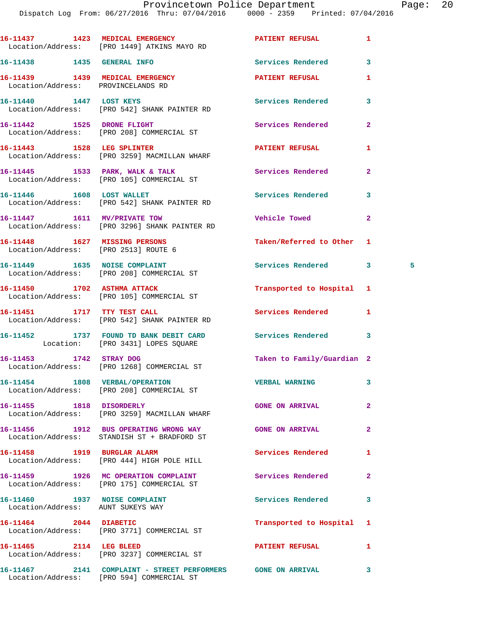|                                                                       | 16-11437 1423 MEDICAL EMERGENCY<br>Location/Address: [PRO 1449] ATKINS MAYO RD                           | <b>PATIENT REFUSAL</b>     | 1              |  |
|-----------------------------------------------------------------------|----------------------------------------------------------------------------------------------------------|----------------------------|----------------|--|
| 16-11438   1435   GENERAL INFO                                        |                                                                                                          | <b>Services Rendered</b>   | 3              |  |
| 16-11439 1439 MEDICAL EMERGENCY<br>Location/Address: PROVINCELANDS RD |                                                                                                          | PATIENT REFUSAL            | 1              |  |
| 16-11440 1447 LOST KEYS                                               | Location/Address: [PRO 542] SHANK PAINTER RD                                                             | Services Rendered          | 3              |  |
|                                                                       | 16-11442 1525 DRONE FLIGHT<br>Location/Address: [PRO 208] COMMERCIAL ST                                  | Services Rendered          | $\overline{a}$ |  |
|                                                                       | 16-11443 1528 LEG SPLINTER<br>Location/Address: [PRO 3259] MACMILLAN WHARF                               | PATIENT REFUSAL            | 1              |  |
|                                                                       | 16-11445 1533 PARK, WALK & TALK<br>Location/Address: [PRO 105] COMMERCIAL ST                             | Services Rendered          | $\mathbf{2}$   |  |
| 16-11446    1608    LOST WALLET                                       | Location/Address: [PRO 542] SHANK PAINTER RD                                                             | <b>Services Rendered</b>   | 3              |  |
|                                                                       | 16-11447 1611 MV/PRIVATE TOW<br>Location/Address: [PRO 3296] SHANK PAINTER RD                            | <b>Vehicle Towed</b>       | $\mathbf{2}$   |  |
| 16-11448 1627 MISSING PERSONS<br>Location/Address: [PRO 2513] ROUTE 6 |                                                                                                          | Taken/Referred to Other 1  |                |  |
|                                                                       | 16-11449 1635 NOISE COMPLAINT<br>Location/Address: [PRO 208] COMMERCIAL ST                               | Services Rendered          | 3<br>$\sim$ 5  |  |
|                                                                       | 16-11450 1702 ASTHMA ATTACK<br>Location/Address: [PRO 105] COMMERCIAL ST                                 | Transported to Hospital 1  |                |  |
|                                                                       | 16-11451 1717 TTY TEST CALL<br>Location/Address: [PRO 542] SHANK PAINTER RD                              | Services Rendered          | 1              |  |
|                                                                       | 16-11452 1737 FOUND TD BANK DEBIT CARD<br>Location: [PRO 3431] LOPES SQUARE                              | Services Rendered          | 3              |  |
|                                                                       | 16-11453 1742 STRAY DOG<br>Location/Address: [PRO 1268] COMMERCIAL ST                                    | Taken to Family/Guardian 2 |                |  |
|                                                                       | 16-11454 1808 VERBAL/OPERATION<br>Location/Address: [PRO 208] COMMERCIAL ST                              | <b>VERBAL WARNING</b>      |                |  |
| 16-11455 1818 DISORDERLY                                              | Location/Address: [PRO 3259] MACMILLAN WHARF                                                             | <b>GONE ON ARRIVAL</b>     | $\overline{2}$ |  |
|                                                                       | 16-11456 1912 BUS OPERATING WRONG WAY<br>Location/Address: STANDISH ST + BRADFORD ST                     | <b>GONE ON ARRIVAL</b>     | $\overline{a}$ |  |
|                                                                       | 16-11458 1919 BURGLAR ALARM<br>Location/Address: [PRO 444] HIGH POLE HILL                                | Services Rendered          | 1              |  |
|                                                                       | 16-11459 1926 MC OPERATION COMPLAINT<br>Location/Address: [PRO 175] COMMERCIAL ST                        | Services Rendered          | $\overline{2}$ |  |
| 16-11460 1937 NOISE COMPLAINT<br>Location/Address: AUNT SUKEYS WAY    |                                                                                                          | Services Rendered          | 3              |  |
| 16-11464 2044 DIABETIC                                                | Location/Address: [PRO 3771] COMMERCIAL ST                                                               | Transported to Hospital    | 1              |  |
| 16-11465 2114 LEG BLEED                                               | Location/Address: [PRO 3237] COMMERCIAL ST                                                               | <b>PATIENT REFUSAL</b>     | 1              |  |
|                                                                       | 16-11467 2141 COMPLAINT - STREET PERFORMERS GONE ON ARRIVAL<br>Location/Address: [PRO 594] COMMERCIAL ST |                            | 3              |  |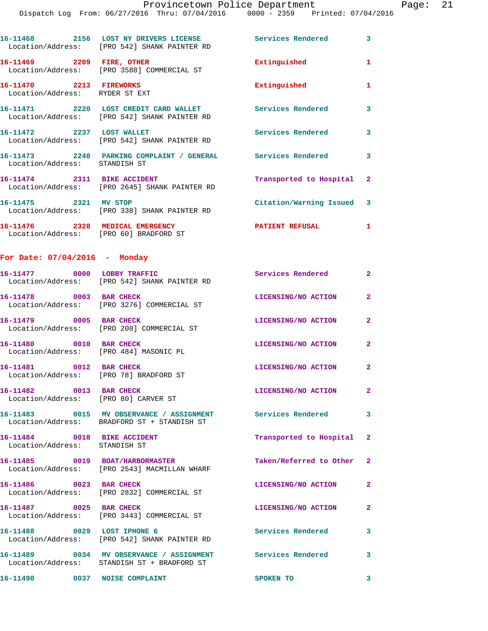| 16-11468                      | 2156 | LOST NY DRIVERS LICENSE<br>Location/Address: [PRO 542] SHANK PAINTER RD | Services Rendered | 3 |
|-------------------------------|------|-------------------------------------------------------------------------|-------------------|---|
| 16–11469<br>Location/Address: | 2209 | FIRE, OTHER<br>[PRO 3588] COMMERCIAL ST                                 | Extinguished      |   |
| 16-11470<br>Location/Address: | 2213 | <b>FIREWORKS</b><br>RYDER ST EXT                                        | Extinguished      |   |
| 16-11471                      | 2220 | LOST CREDIT CARD WALLET<br>Location/Address: [PRO 542] SHANK PAINTER RD | Services Rendered | 3 |
| 16-11472                      | 2237 | <b>LOST WALLET</b><br>Location/Address: [PRO 542] SHANK PAINTER RD      | Services Rendered | 3 |
| 16-11473                      | 2248 | <b>PARKING</b><br>COMPLAINT<br><b>GENERAL</b>                           | Services Rendered | 3 |

 Location/Address: STANDISH ST **16-11474 2311 BIKE ACCIDENT Transported to Hospital 2**  Location/Address: [PRO 2645] SHANK PAINTER RD **16-11475 2321 MV STOP Citation/Warning Issued 3**  Location/Address: [PRO 338] SHANK PAINTER RD

**16-11476 2328 MEDICAL EMERGENCY PATIENT REFUSAL 1**  Location/Address: [PRO 60] BRADFORD ST

## **For Date: 07/04/2016 - Monday**

|                                                                   | 16-11477 0000 LOBBY TRAFFIC<br>Location/Address: [PRO 542] SHANK PAINTER RD                                | <b>Services Rendered</b>  | $\overline{2}$          |
|-------------------------------------------------------------------|------------------------------------------------------------------------------------------------------------|---------------------------|-------------------------|
| 16-11478 0003 BAR CHECK                                           | Location/Address: [PRO 3276] COMMERCIAL ST                                                                 | LICENSING/NO ACTION       | $\overline{2}$          |
| 16-11479 0005 BAR CHECK                                           | Location/Address: [PRO 208] COMMERCIAL ST                                                                  | LICENSING/NO ACTION       | $\mathbf{2}$            |
| 16-11480 0010 BAR CHECK<br>Location/Address: [PRO 484] MASONIC PL |                                                                                                            | LICENSING/NO ACTION       | $\mathbf{2}$            |
| 16-11481 0012 BAR CHECK<br>Location/Address: [PRO 78] BRADFORD ST |                                                                                                            | LICENSING/NO ACTION       | $\overline{2}$          |
| 16-11482 0013 BAR CHECK<br>Location/Address: [PRO 80] CARVER ST   |                                                                                                            | LICENSING/NO ACTION       | $\overline{2}$          |
|                                                                   | 16-11483  0015 MV OBSERVANCE / ASSIGNMENT Services Rendered<br>Location/Address: BRADFORD ST + STANDISH ST |                           | $\mathbf{3}$            |
| 16-11484 0018 BIKE ACCIDENT<br>Location/Address: STANDISH ST      |                                                                                                            | Transported to Hospital 2 |                         |
|                                                                   | 16-11485 0019 BOAT/HARBORMASTER<br>Location/Address: [PRO 2543] MACMILLAN WHARF                            | Taken/Referred to Other 2 |                         |
| 16-11486 0023 BAR CHECK                                           | Location/Address: [PRO 2832] COMMERCIAL ST                                                                 | LICENSING/NO ACTION       | $\mathbf{2}$            |
| 16-11487 0025 BAR CHECK                                           | Location/Address: [PRO 3443] COMMERCIAL ST                                                                 | LICENSING/NO ACTION       | $\overline{2}$          |
|                                                                   | 16-11488 0029 LOST IPHONE 6<br>Location/Address: [PRO 542] SHANK PAINTER RD                                | <b>Services Rendered</b>  | 3                       |
|                                                                   | 16-11489 0034 MV OBSERVANCE / ASSIGNMENT<br>Location/Address: STANDISH ST + BRADFORD ST                    | Services Rendered         | $\overline{\mathbf{3}}$ |

**16-11490** 0037 NOISE COMPLAINT SPOKEN TO 3